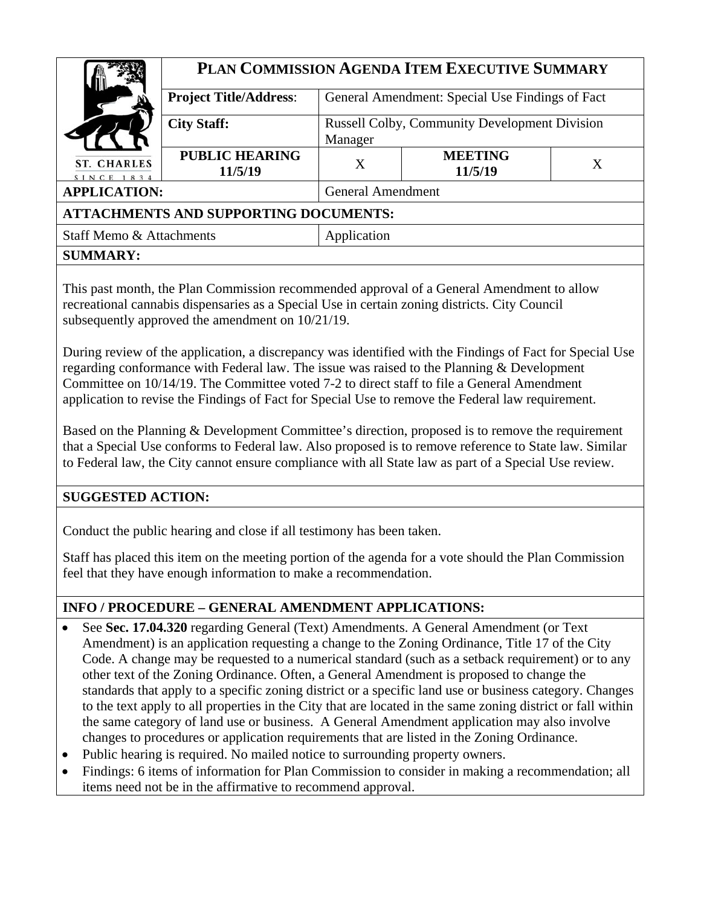|                                              | PLAN COMMISSION AGENDA ITEM EXECUTIVE SUMMARY                              |                                                 |                           |   |  |
|----------------------------------------------|----------------------------------------------------------------------------|-------------------------------------------------|---------------------------|---|--|
|                                              | <b>Project Title/Address:</b>                                              | General Amendment: Special Use Findings of Fact |                           |   |  |
|                                              | <b>City Staff:</b><br><b>Russell Colby, Community Development Division</b> |                                                 |                           |   |  |
|                                              |                                                                            | Manager                                         |                           |   |  |
| <b>ST. CHARLES</b><br>SINCE 1834             | <b>PUBLIC HEARING</b><br>11/5/19                                           | X                                               | <b>MEETING</b><br>11/5/19 | X |  |
| <b>APPLICATION:</b>                          |                                                                            | <b>General Amendment</b>                        |                           |   |  |
| <b>ATTACHMENTS AND SUPPORTING DOCUMENTS:</b> |                                                                            |                                                 |                           |   |  |
| Staff Memo & Attachments                     |                                                                            | Application                                     |                           |   |  |
| <b>SUMMARY:</b>                              |                                                                            |                                                 |                           |   |  |

This past month, the Plan Commission recommended approval of a General Amendment to allow recreational cannabis dispensaries as a Special Use in certain zoning districts. City Council subsequently approved the amendment on 10/21/19.

During review of the application, a discrepancy was identified with the Findings of Fact for Special Use regarding conformance with Federal law. The issue was raised to the Planning & Development Committee on 10/14/19. The Committee voted 7-2 to direct staff to file a General Amendment application to revise the Findings of Fact for Special Use to remove the Federal law requirement.

Based on the Planning & Development Committee's direction, proposed is to remove the requirement that a Special Use conforms to Federal law. Also proposed is to remove reference to State law. Similar to Federal law, the City cannot ensure compliance with all State law as part of a Special Use review.

### **SUGGESTED ACTION:**

Conduct the public hearing and close if all testimony has been taken.

Staff has placed this item on the meeting portion of the agenda for a vote should the Plan Commission feel that they have enough information to make a recommendation.

## **INFO / PROCEDURE – GENERAL AMENDMENT APPLICATIONS:**

- See **Sec. 17.04.320** regarding General (Text) Amendments. A General Amendment (or Text Amendment) is an application requesting a change to the Zoning Ordinance, Title 17 of the City Code. A change may be requested to a numerical standard (such as a setback requirement) or to any other text of the Zoning Ordinance. Often, a General Amendment is proposed to change the standards that apply to a specific zoning district or a specific land use or business category. Changes to the text apply to all properties in the City that are located in the same zoning district or fall within the same category of land use or business. A General Amendment application may also involve changes to procedures or application requirements that are listed in the Zoning Ordinance.
- Public hearing is required. No mailed notice to surrounding property owners.
- Findings: 6 items of information for Plan Commission to consider in making a recommendation; all items need not be in the affirmative to recommend approval.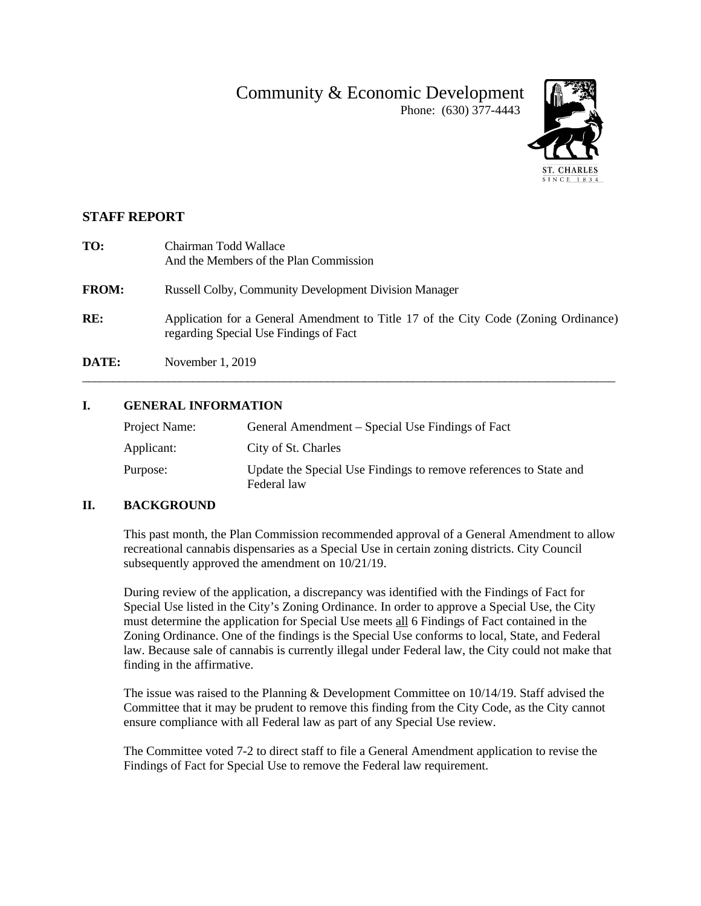# Community & Economic Development



## Phone: (630) 377-4443

### **STAFF REPORT**

| TO:          | Chairman Todd Wallace<br>And the Members of the Plan Commission                                                               |
|--------------|-------------------------------------------------------------------------------------------------------------------------------|
| <b>FROM:</b> | <b>Russell Colby, Community Development Division Manager</b>                                                                  |
| RE:          | Application for a General Amendment to Title 17 of the City Code (Zoning Ordinance)<br>regarding Special Use Findings of Fact |
| DATE:        | November 1, 2019                                                                                                              |

#### **I. GENERAL INFORMATION**

| Project Name: | General Amendment – Special Use Findings of Fact                                 |
|---------------|----------------------------------------------------------------------------------|
| Applicant:    | City of St. Charles                                                              |
| Purpose:      | Update the Special Use Findings to remove references to State and<br>Federal law |

#### **II. BACKGROUND**

This past month, the Plan Commission recommended approval of a General Amendment to allow recreational cannabis dispensaries as a Special Use in certain zoning districts. City Council subsequently approved the amendment on 10/21/19.

During review of the application, a discrepancy was identified with the Findings of Fact for Special Use listed in the City's Zoning Ordinance. In order to approve a Special Use, the City must determine the application for Special Use meets all 6 Findings of Fact contained in the Zoning Ordinance. One of the findings is the Special Use conforms to local, State, and Federal law. Because sale of cannabis is currently illegal under Federal law, the City could not make that finding in the affirmative.

The issue was raised to the Planning & Development Committee on 10/14/19. Staff advised the Committee that it may be prudent to remove this finding from the City Code, as the City cannot ensure compliance with all Federal law as part of any Special Use review.

The Committee voted 7-2 to direct staff to file a General Amendment application to revise the Findings of Fact for Special Use to remove the Federal law requirement.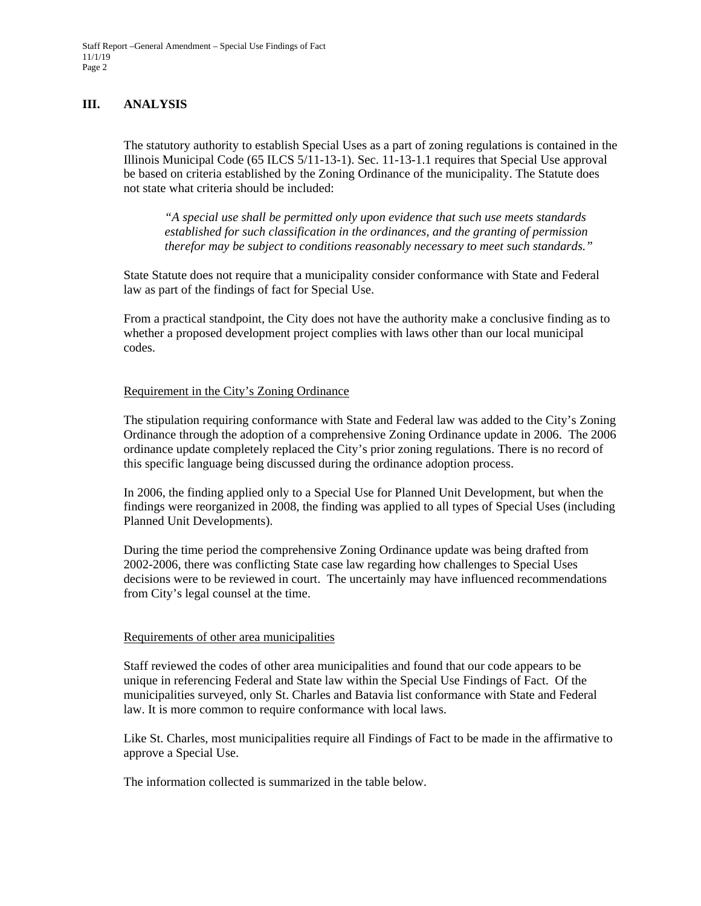#### **III. ANALYSIS**

The statutory authority to establish Special Uses as a part of zoning regulations is contained in the Illinois Municipal Code (65 ILCS 5/11-13-1). Sec. 11-13-1.1 requires that Special Use approval be based on criteria established by the Zoning Ordinance of the municipality. The Statute does not state what criteria should be included:

*"A special use shall be permitted only upon evidence that such use meets standards established for such classification in the ordinances, and the granting of permission therefor may be subject to conditions reasonably necessary to meet such standards."* 

State Statute does not require that a municipality consider conformance with State and Federal law as part of the findings of fact for Special Use.

From a practical standpoint, the City does not have the authority make a conclusive finding as to whether a proposed development project complies with laws other than our local municipal codes.

#### Requirement in the City's Zoning Ordinance

The stipulation requiring conformance with State and Federal law was added to the City's Zoning Ordinance through the adoption of a comprehensive Zoning Ordinance update in 2006. The 2006 ordinance update completely replaced the City's prior zoning regulations. There is no record of this specific language being discussed during the ordinance adoption process.

In 2006, the finding applied only to a Special Use for Planned Unit Development, but when the findings were reorganized in 2008, the finding was applied to all types of Special Uses (including Planned Unit Developments).

During the time period the comprehensive Zoning Ordinance update was being drafted from 2002-2006, there was conflicting State case law regarding how challenges to Special Uses decisions were to be reviewed in court. The uncertainly may have influenced recommendations from City's legal counsel at the time.

#### Requirements of other area municipalities

Staff reviewed the codes of other area municipalities and found that our code appears to be unique in referencing Federal and State law within the Special Use Findings of Fact. Of the municipalities surveyed, only St. Charles and Batavia list conformance with State and Federal law. It is more common to require conformance with local laws.

Like St. Charles, most municipalities require all Findings of Fact to be made in the affirmative to approve a Special Use.

The information collected is summarized in the table below.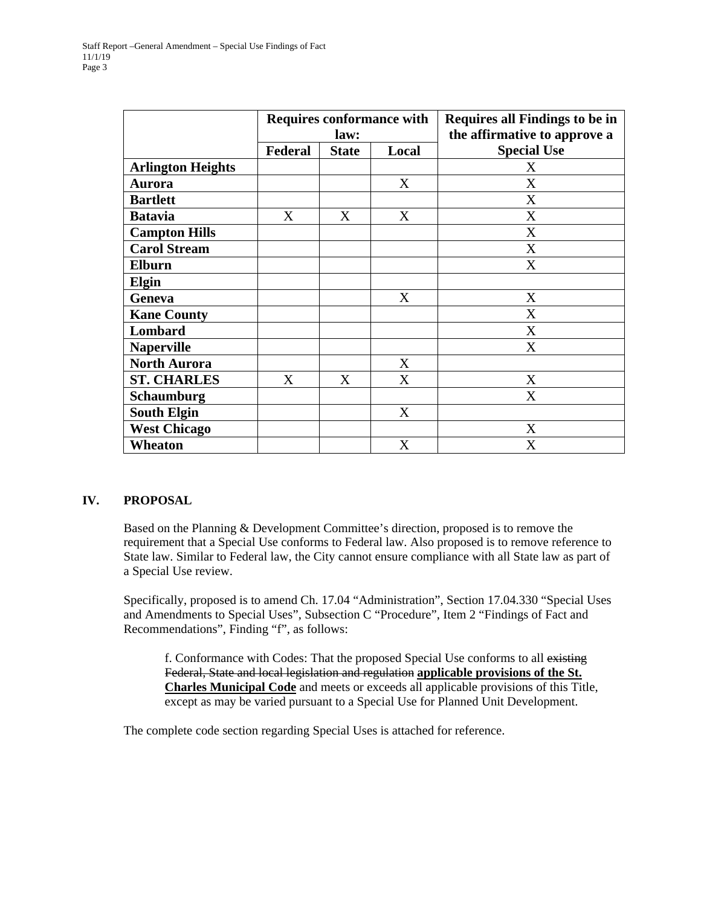|                          | <b>Requires conformance with</b><br>law: |              |       | <b>Requires all Findings to be in</b><br>the affirmative to approve a |  |
|--------------------------|------------------------------------------|--------------|-------|-----------------------------------------------------------------------|--|
|                          | Federal                                  | <b>State</b> | Local | <b>Special Use</b>                                                    |  |
| <b>Arlington Heights</b> |                                          |              |       | X                                                                     |  |
| <b>Aurora</b>            |                                          |              | X     | X                                                                     |  |
| <b>Bartlett</b>          |                                          |              |       | X                                                                     |  |
| <b>Batavia</b>           | X                                        | X            | X     | X                                                                     |  |
| <b>Campton Hills</b>     |                                          |              |       | X                                                                     |  |
| <b>Carol Stream</b>      |                                          |              |       | X                                                                     |  |
| <b>Elburn</b>            |                                          |              |       | X                                                                     |  |
| Elgin                    |                                          |              |       |                                                                       |  |
| Geneva                   |                                          |              | X     | X                                                                     |  |
| <b>Kane County</b>       |                                          |              |       | X                                                                     |  |
| Lombard                  |                                          |              |       | X                                                                     |  |
| <b>Naperville</b>        |                                          |              |       | X                                                                     |  |
| <b>North Aurora</b>      |                                          |              | X     |                                                                       |  |
| <b>ST. CHARLES</b>       | X                                        | X            | X     | X                                                                     |  |
| <b>Schaumburg</b>        |                                          |              |       | X                                                                     |  |
| <b>South Elgin</b>       |                                          |              | X     |                                                                       |  |
| <b>West Chicago</b>      |                                          |              |       | X                                                                     |  |
| Wheaton                  |                                          |              | X     | X                                                                     |  |

#### **IV. PROPOSAL**

Based on the Planning & Development Committee's direction, proposed is to remove the requirement that a Special Use conforms to Federal law. Also proposed is to remove reference to State law. Similar to Federal law, the City cannot ensure compliance with all State law as part of a Special Use review.

Specifically, proposed is to amend Ch. 17.04 "Administration", Section 17.04.330 "Special Uses and Amendments to Special Uses", Subsection C "Procedure", Item 2 "Findings of Fact and Recommendations", Finding "f", as follows:

f. Conformance with Codes: That the proposed Special Use conforms to all existing Federal, State and local legislation and regulation **applicable provisions of the St. Charles Municipal Code** and meets or exceeds all applicable provisions of this Title, except as may be varied pursuant to a Special Use for Planned Unit Development.

The complete code section regarding Special Uses is attached for reference.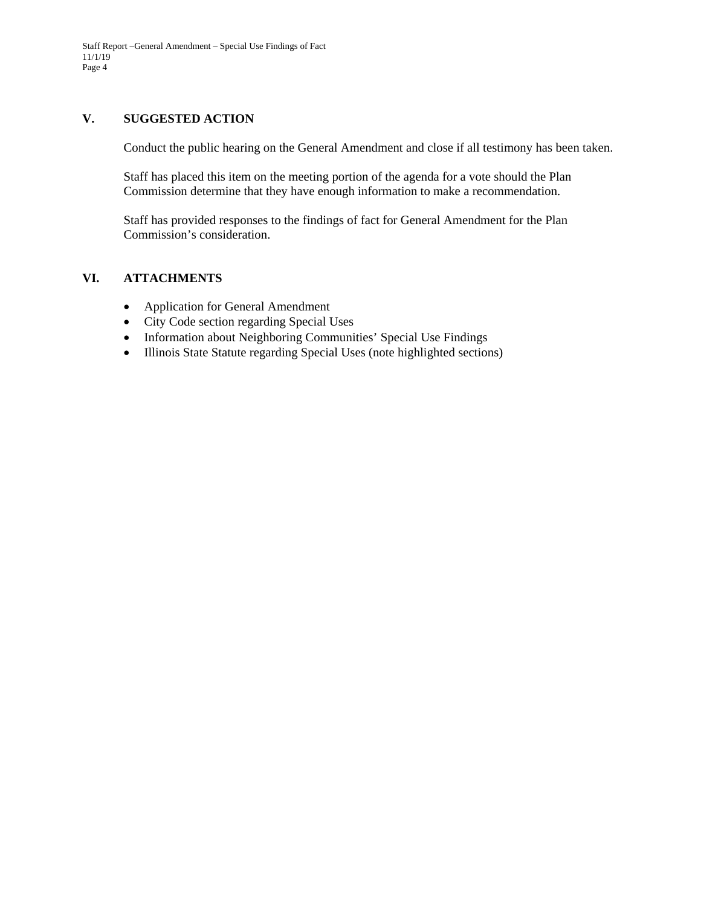#### **V. SUGGESTED ACTION**

Conduct the public hearing on the General Amendment and close if all testimony has been taken.

Staff has placed this item on the meeting portion of the agenda for a vote should the Plan Commission determine that they have enough information to make a recommendation.

Staff has provided responses to the findings of fact for General Amendment for the Plan Commission's consideration.

#### **VI. ATTACHMENTS**

- Application for General Amendment
- City Code section regarding Special Uses
- Information about Neighboring Communities' Special Use Findings
- Illinois State Statute regarding Special Uses (note highlighted sections)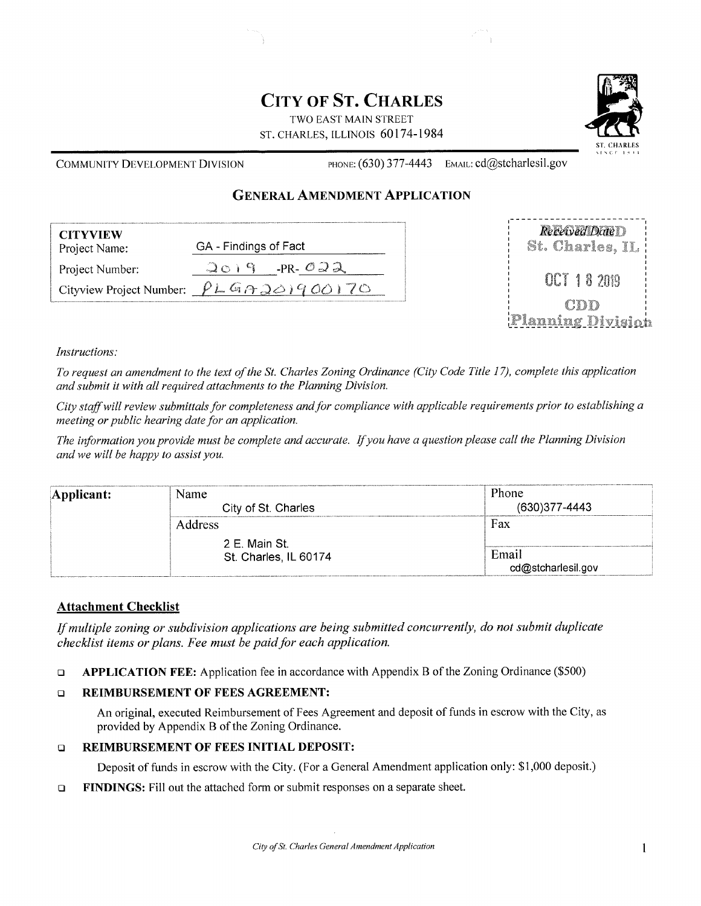## **CITY OF ST. CHARLES**

TWO EAST MAIN STREET ST. CHARLES, ILLINOIS 60174-1984



**COMMUNITY DEVELOPMENT DIVISION** 

PHONE: (630) 377-4443 EMAIL: cd@stcharlesil.gov

#### **GENERAL AMENDMENT APPLICATION**

| <b>CITYVIEW</b><br>Project Name: | GA - Findings of Fact                            |  |  |
|----------------------------------|--------------------------------------------------|--|--|
| Project Number:                  | -PR- $\mathcal{O} \supseteq \mathcal{A}$<br>1014 |  |  |
| Cityview Project Number:         | PLGAGQ0900                                       |  |  |



#### Instructions:

To request an amendment to the text of the St. Charles Zoning Ordinance (City Code Title 17), complete this application and submit it with all required attachments to the Planning Division.

City staff will review submittals for completeness and for compliance with applicable requirements prior to establishing a meeting or public hearing date for an application.

The information you provide must be complete and accurate. If you have a question please call the Planning Division and we will be happy to assist you.

| Applicant: | Name<br>City of St. Charles            | Phone<br>(630) 377-4443     |
|------------|----------------------------------------|-----------------------------|
|            | <b>Address</b>                         | Fax                         |
|            | 2 E. Main St.<br>St. Charles, IL 60174 | Email<br>cd@stcharlesil.gov |

#### **Attachment Checklist**

If multiple zoning or subdivision applications are being submitted concurrently, do not submit duplicate checklist items or plans. Fee must be paid for each application.

APPLICATION FEE: Application fee in accordance with Appendix B of the Zoning Ordinance (\$500)  $\Box$ 

#### **REIMBURSEMENT OF FEES AGREEMENT:**  $\Box$

An original, executed Reimbursement of Fees Agreement and deposit of funds in escrow with the City, as provided by Appendix B of the Zoning Ordinance.

#### **REIMBURSEMENT OF FEES INITIAL DEPOSIT:**  $\Box$

Deposit of funds in escrow with the City. (For a General Amendment application only: \$1,000 deposit.)

FINDINGS: Fill out the attached form or submit responses on a separate sheet.  $\Box$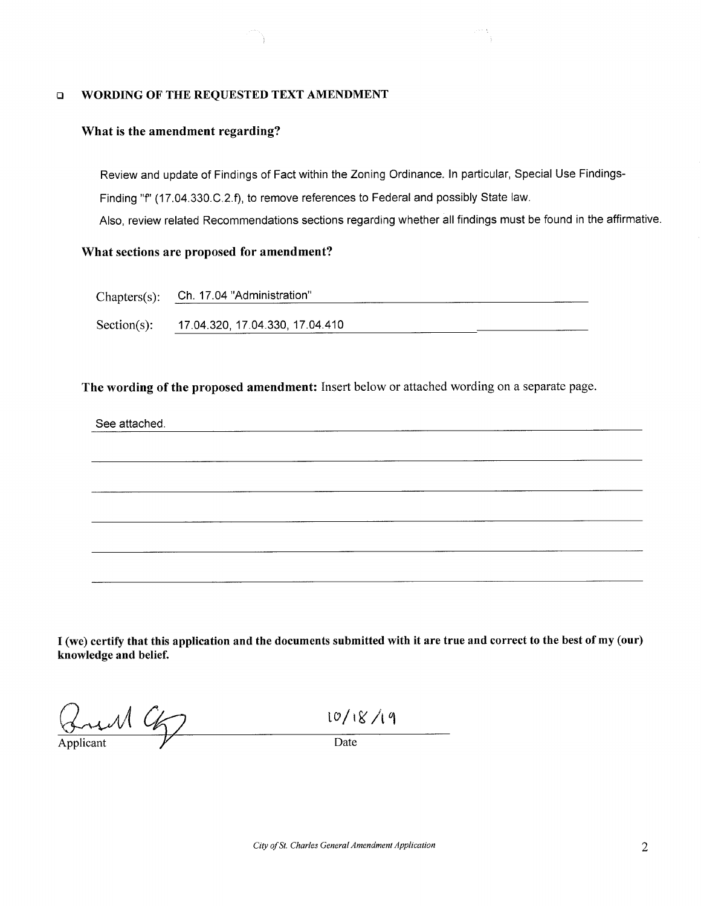#### $\Box$ WORDING OF THE REQUESTED TEXT AMENDMENT

#### What is the amendment regarding?

Review and update of Findings of Fact within the Zoning Ordinance. In particular, Special Use Findings-Finding "f" (17.04.330.C.2.f), to remove references to Federal and possibly State law. Also, review related Recommendations sections regarding whether all findings must be found in the affirmative.

#### What sections are proposed for amendment?

| Chapters(s): Ch. 17.04 "Administration" |  |
|-----------------------------------------|--|
|                                         |  |

Section(s): 17.04.320, 17.04.330, 17.04.410

The wording of the proposed amendment: Insert below or attached wording on a separate page.

#### See attached.



I (we) certify that this application and the documents submitted with it are true and correct to the best of my (our) knowledge and belief.

und 9

Applicant

10/18/19

 $\frac{1}{\text{Date}}$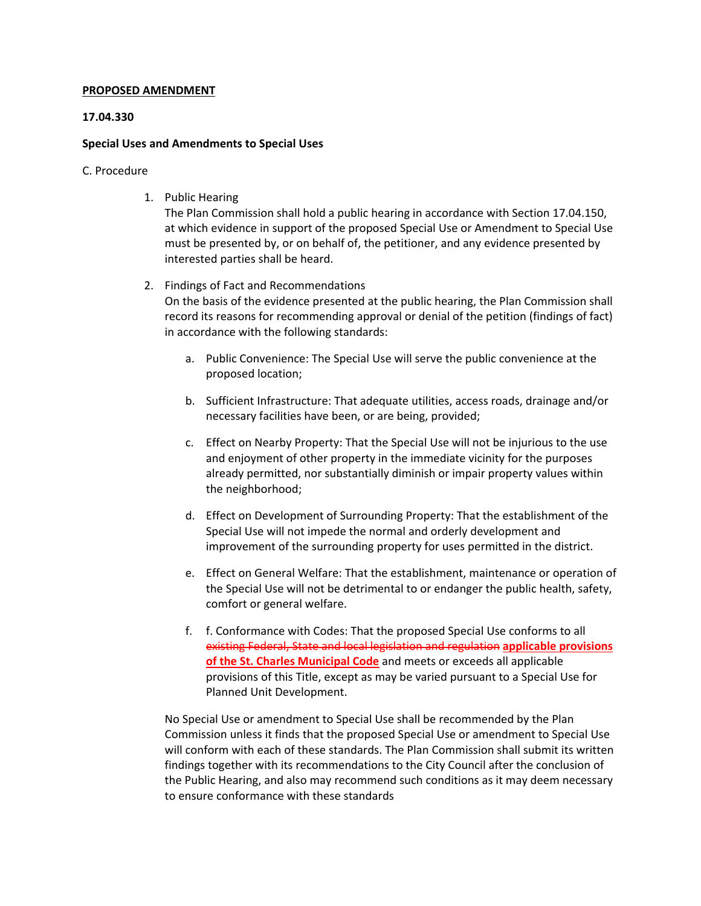#### **PROPOSED AMENDMENT**

#### **17.04.330**

#### **Special Uses and Amendments to Special Uses**

#### C. Procedure

1. Public Hearing

The Plan Commission shall hold a public hearing in accordance with Section 17.04.150, at which evidence in support of the proposed Special Use or Amendment to Special Use must be presented by, or on behalf of, the petitioner, and any evidence presented by interested parties shall be heard.

2. Findings of Fact and Recommendations

On the basis of the evidence presented at the public hearing, the Plan Commission shall record its reasons for recommending approval or denial of the petition (findings of fact) in accordance with the following standards:

- a. Public Convenience: The Special Use will serve the public convenience at the proposed location;
- b. Sufficient Infrastructure: That adequate utilities, access roads, drainage and/or necessary facilities have been, or are being, provided;
- c. Effect on Nearby Property: That the Special Use will not be injurious to the use and enjoyment of other property in the immediate vicinity for the purposes already permitted, nor substantially diminish or impair property values within the neighborhood;
- d. Effect on Development of Surrounding Property: That the establishment of the Special Use will not impede the normal and orderly development and improvement of the surrounding property for uses permitted in the district.
- e. Effect on General Welfare: That the establishment, maintenance or operation of the Special Use will not be detrimental to or endanger the public health, safety, comfort or general welfare.
- f. f. Conformance with Codes: That the proposed Special Use conforms to all existing Federal, State and local legislation and regulation **applicable provisions of the St. Charles Municipal Code** and meets or exceeds all applicable provisions of this Title, except as may be varied pursuant to a Special Use for Planned Unit Development.

No Special Use or amendment to Special Use shall be recommended by the Plan Commission unless it finds that the proposed Special Use or amendment to Special Use will conform with each of these standards. The Plan Commission shall submit its written findings together with its recommendations to the City Council after the conclusion of the Public Hearing, and also may recommend such conditions as it may deem necessary to ensure conformance with these standards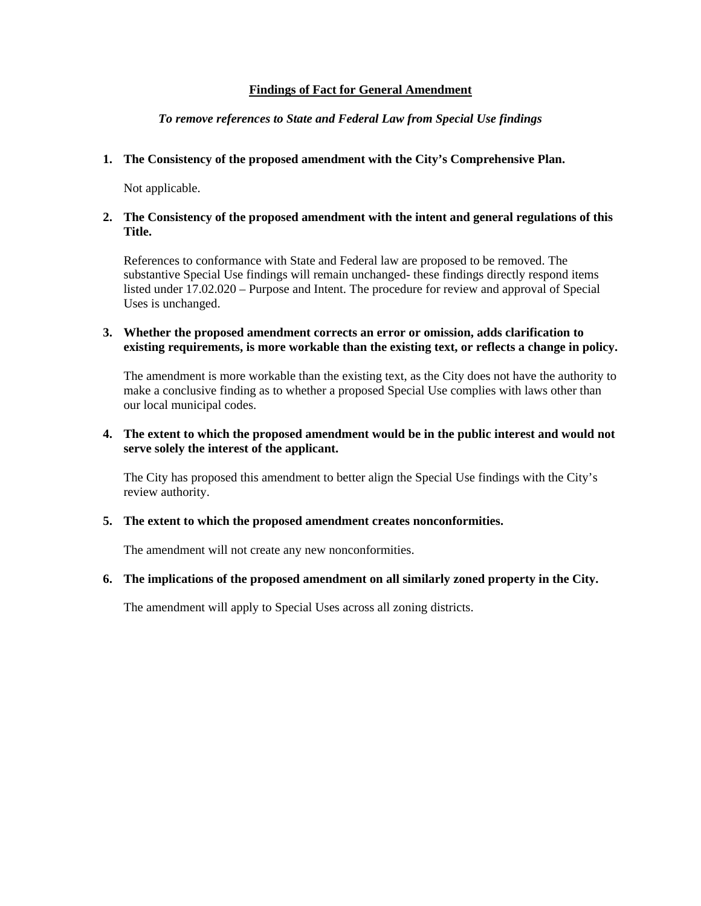#### **Findings of Fact for General Amendment**

#### *To remove references to State and Federal Law from Special Use findings*

#### **1. The Consistency of the proposed amendment with the City's Comprehensive Plan.**

Not applicable.

#### **2. The Consistency of the proposed amendment with the intent and general regulations of this Title.**

References to conformance with State and Federal law are proposed to be removed. The substantive Special Use findings will remain unchanged- these findings directly respond items listed under 17.02.020 – Purpose and Intent. The procedure for review and approval of Special Uses is unchanged.

#### **3. Whether the proposed amendment corrects an error or omission, adds clarification to existing requirements, is more workable than the existing text, or reflects a change in policy.**

The amendment is more workable than the existing text, as the City does not have the authority to make a conclusive finding as to whether a proposed Special Use complies with laws other than our local municipal codes.

#### **4. The extent to which the proposed amendment would be in the public interest and would not serve solely the interest of the applicant.**

The City has proposed this amendment to better align the Special Use findings with the City's review authority.

#### **5. The extent to which the proposed amendment creates nonconformities.**

The amendment will not create any new nonconformities.

#### **6. The implications of the proposed amendment on all similarly zoned property in the City.**

The amendment will apply to Special Uses across all zoning districts.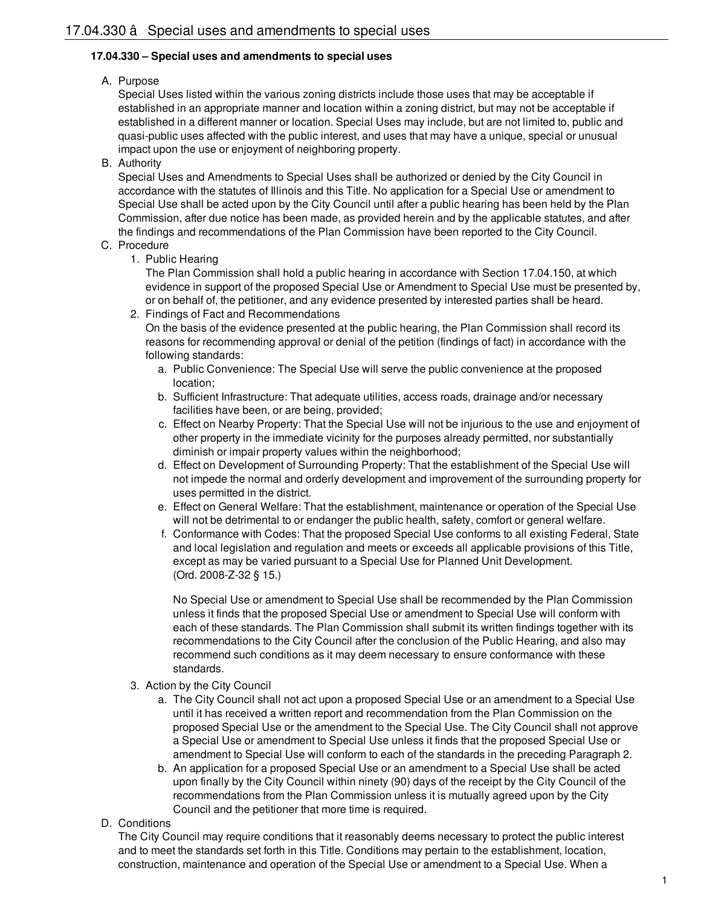#### **17.04.330 – Special uses and amendments to special uses**

#### A. Purpose

Special Uses listed within the various zoning districts include those uses that may be acceptable if established in an appropriate manner and location within a zoning district, but may not be acceptable if established in a different manner or location. Special Uses may include, but are not limited to, public and quasi-public uses affected with the public interest, and uses that may have a unique, special or unusual impact upon the use or enjoyment of neighboring property.

B. Authority

Special Uses and Amendments to Special Uses shall be authorized or denied by the City Council in accordance with the statutes of Illinois and this Title. No application for a Special Use or amendment to Special Use shall be acted upon by the City Council until after a public hearing has been held by the Plan Commission, after due notice has been made, as provided herein and by the applicable statutes, and after the findings and recommendations of the Plan Commission have been reported to the City Council.

#### C. Procedure

1. Public Hearing

The Plan Commission shall hold a public hearing in accordance with Section 17.04.150, at which evidence in support of the proposed Special Use or Amendment to Special Use must be presented by, or on behalf of, the petitioner, and any evidence presented by interested parties shall be heard.

2. Findings of Fact and Recommendations

On the basis of the evidence presented at the public hearing, the Plan Commission shall record its reasons for recommending approval or denial of the petition (findings of fact) in accordance with the following standards:

- a. Public Convenience: The Special Use will serve the public convenience at the proposed location;
- b. Sufficient Infrastructure: That adequate utilities, access roads, drainage and/or necessary facilities have been, or are being, provided;
- c. Effect on Nearby Property: That the Special Use will not be injurious to the use and enjoyment of other property in the immediate vicinity for the purposes already permitted, nor substantially diminish or impair property values within the neighborhood;
- d. Effect on Development of Surrounding Property: That the establishment of the Special Use will not impede the normal and orderly development and improvement of the surrounding property for uses permitted in the district.
- e. Effect on General Welfare: That the establishment, maintenance or operation of the Special Use will not be detrimental to or endanger the public health, safety, comfort or general welfare.
- f. Conformance with Codes: That the proposed Special Use conforms to all existing Federal, State and local legislation and regulation and meets or exceeds all applicable provisions of this Title, except as may be varied pursuant to a Special Use for Planned Unit Development. (Ord. 2008-Z-32 § 15.)

No Special Use or amendment to Special Use shall be recommended by the Plan Commission unless it finds that the proposed Special Use or amendment to Special Use will conform with each of these standards. The Plan Commission shall submit its written findings together with its recommendations to the City Council after the conclusion of the Public Hearing, and also may recommend such conditions as it may deem necessary to ensure conformance with these standards.

- 3. Action by the City Council
	- a. The City Council shall not act upon a proposed Special Use or an amendment to a Special Use until it has received a written report and recommendation from the Plan Commission on the proposed Special Use or the amendment to the Special Use. The City Council shall not approve a Special Use or amendment to Special Use unless it finds that the proposed Special Use or amendment to Special Use will conform to each of the standards in the preceding Paragraph 2.
	- b. An application for a proposed Special Use or an amendment to a Special Use shall be acted upon finally by the City Council within ninety (90) days of the receipt by the City Council of the recommendations from the Plan Commission unless it is mutually agreed upon by the City Council and the petitioner that more time is required.
- D. Conditions

The City Council may require conditions that it reasonably deems necessary to protect the public interest and to meet the standards set forth in this Title. Conditions may pertain to the establishment, location, construction, maintenance and operation of the Special Use or amendment to a Special Use. When a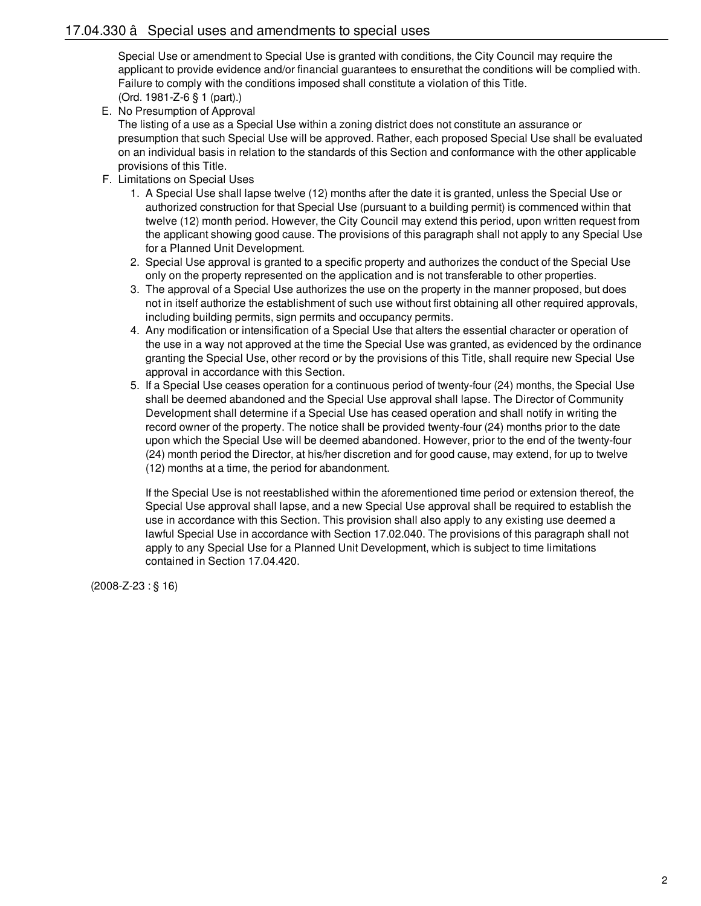Special Use or amendment to Special Use is granted with conditions, the City Council may require the applicant to provide evidence and/or financial guarantees to ensurethat the conditions will be complied with. Failure to comply with the conditions imposed shall constitute a violation of this Title. (Ord. 1981-Z-6 § 1 (part).)

E. No Presumption of Approval

The listing of a use as a Special Use within a zoning district does not constitute an assurance or presumption that such Special Use will be approved. Rather, each proposed Special Use shall be evaluated on an individual basis in relation to the standards of this Section and conformance with the other applicable provisions of this Title.

- F. Limitations on Special Uses
	- 1. A Special Use shall lapse twelve (12) months after the date it is granted, unless the Special Use or authorized construction for that Special Use (pursuant to a building permit) is commenced within that twelve (12) month period. However, the City Council may extend this period, upon written request from the applicant showing good cause. The provisions of this paragraph shall not apply to any Special Use for a Planned Unit Development.
	- 2. Special Use approval is granted to a specific property and authorizes the conduct of the Special Use only on the property represented on the application and is not transferable to other properties.
	- 3. The approval of a Special Use authorizes the use on the property in the manner proposed, but does not in itself authorize the establishment of such use without first obtaining all other required approvals, including building permits, sign permits and occupancy permits.
	- 4. Any modification or intensification of a Special Use that alters the essential character or operation of the use in a way not approved at the time the Special Use was granted, as evidenced by the ordinance granting the Special Use, other record or by the provisions of this Title, shall require new Special Use approval in accordance with this Section.
	- 5. If a Special Use ceases operation for a continuous period of twenty-four (24) months, the Special Use shall be deemed abandoned and the Special Use approval shall lapse. The Director of Community Development shall determine if a Special Use has ceased operation and shall notify in writing the record owner of the property. The notice shall be provided twenty-four (24) months prior to the date upon which the Special Use will be deemed abandoned. However, prior to the end of the twenty-four (24) month period the Director, at his/her discretion and for good cause, may extend, for up to twelve (12) months at a time, the period for abandonment.

If the Special Use is not reestablished within the aforementioned time period or extension thereof, the Special Use approval shall lapse, and a new Special Use approval shall be required to establish the use in accordance with this Section. This provision shall also apply to any existing use deemed a lawful Special Use in accordance with Section 17.02.040. The provisions of this paragraph shall not apply to any Special Use for a Planned Unit Development, which is subject to time limitations contained in Section 17.04.420.

[\(2008-Z-23](https://codebook.stcharlesil.gov/ordinances/ordinance-no-2008-z-23) : § 16)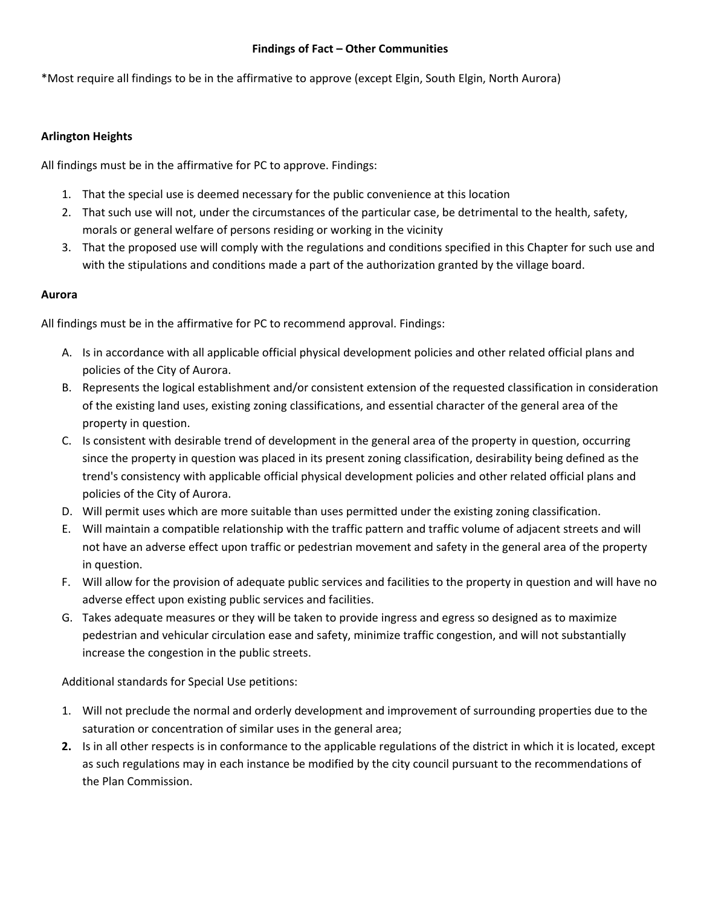#### **Findings of Fact – Other Communities**

\*Most require all findings to be in the affirmative to approve (except Elgin, South Elgin, North Aurora)

#### **Arlington Heights**

All findings must be in the affirmative for PC to approve. Findings:

- 1. That the special use is deemed necessary for the public convenience at this location
- 2. That such use will not, under the circumstances of the particular case, be detrimental to the health, safety, morals or general welfare of persons residing or working in the vicinity
- 3. That the proposed use will comply with the regulations and conditions specified in this Chapter for such use and with the stipulations and conditions made a part of the authorization granted by the village board.

#### **Aurora**

All findings must be in the affirmative for PC to recommend approval. Findings:

- A. Is in accordance with all applicable official physical development policies and other related official plans and policies of the City of Aurora.
- B. Represents the logical establishment and/or consistent extension of the requested classification in consideration of the existing land uses, existing zoning classifications, and essential character of the general area of the property in question.
- C. Is consistent with desirable trend of development in the general area of the property in question, occurring since the property in question was placed in its present zoning classification, desirability being defined as the trend's consistency with applicable official physical development policies and other related official plans and policies of the City of Aurora.
- D. Will permit uses which are more suitable than uses permitted under the existing zoning classification.
- E. Will maintain a compatible relationship with the traffic pattern and traffic volume of adjacent streets and will not have an adverse effect upon traffic or pedestrian movement and safety in the general area of the property in question.
- F. Will allow for the provision of adequate public services and facilities to the property in question and will have no adverse effect upon existing public services and facilities.
- G. Takes adequate measures or they will be taken to provide ingress and egress so designed as to maximize pedestrian and vehicular circulation ease and safety, minimize traffic congestion, and will not substantially increase the congestion in the public streets.

Additional standards for Special Use petitions:

- 1. Will not preclude the normal and orderly development and improvement of surrounding properties due to the saturation or concentration of similar uses in the general area;
- **2.** Is in all other respects is in conformance to the applicable regulations of the district in which it is located, except as such regulations may in each instance be modified by the city council pursuant to the recommendations of the Plan Commission.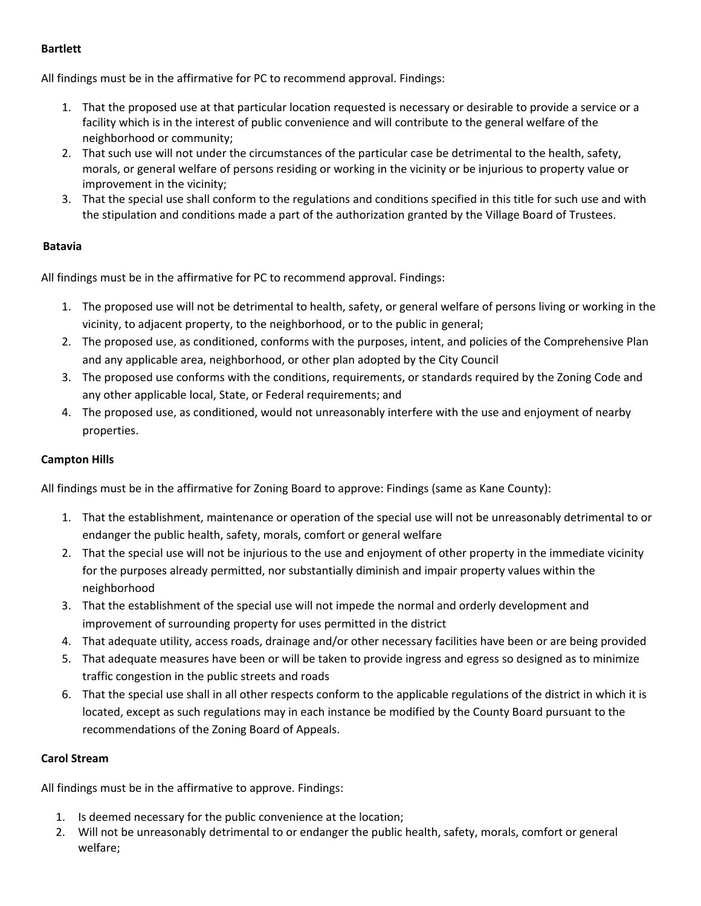#### **Bartlett**

All findings must be in the affirmative for PC to recommend approval. Findings:

- 1. That the proposed use at that particular location requested is necessary or desirable to provide a service or a facility which is in the interest of public convenience and will contribute to the general welfare of the neighborhood or community;
- 2. That such use will not under the circumstances of the particular case be detrimental to the health, safety, morals, or general welfare of persons residing or working in the vicinity or be injurious to property value or improvement in the vicinity;
- 3. That the special use shall conform to the regulations and conditions specified in this title for such use and with the stipulation and conditions made a part of the authorization granted by the Village Board of Trustees.

#### **Batavia**

All findings must be in the affirmative for PC to recommend approval. Findings:

- 1. The proposed use will not be detrimental to health, safety, or general welfare of persons living or working in the vicinity, to adjacent property, to the neighborhood, or to the public in general;
- 2. The proposed use, as conditioned, conforms with the purposes, intent, and policies of the Comprehensive Plan and any applicable area, neighborhood, or other plan adopted by the City Council
- 3. The proposed use conforms with the conditions, requirements, or standards required by the Zoning Code and any other applicable local, State, or Federal requirements; and
- 4. The proposed use, as conditioned, would not unreasonably interfere with the use and enjoyment of nearby properties.

#### **Campton Hills**

All findings must be in the affirmative for Zoning Board to approve: Findings (same as Kane County):

- 1. That the establishment, maintenance or operation of the special use will not be unreasonably detrimental to or endanger the public health, safety, morals, comfort or general welfare
- 2. That the special use will not be injurious to the use and enjoyment of other property in the immediate vicinity for the purposes already permitted, nor substantially diminish and impair property values within the neighborhood
- 3. That the establishment of the special use will not impede the normal and orderly development and improvement of surrounding property for uses permitted in the district
- 4. That adequate utility, access roads, drainage and/or other necessary facilities have been or are being provided
- 5. That adequate measures have been or will be taken to provide ingress and egress so designed as to minimize traffic congestion in the public streets and roads
- 6. That the special use shall in all other respects conform to the applicable regulations of the district in which it is located, except as such regulations may in each instance be modified by the County Board pursuant to the recommendations of the Zoning Board of Appeals.

#### **Carol Stream**

All findings must be in the affirmative to approve. Findings:

- 1. Is deemed necessary for the public convenience at the location;
- 2. Will not be unreasonably detrimental to or endanger the public health, safety, morals, comfort or general welfare;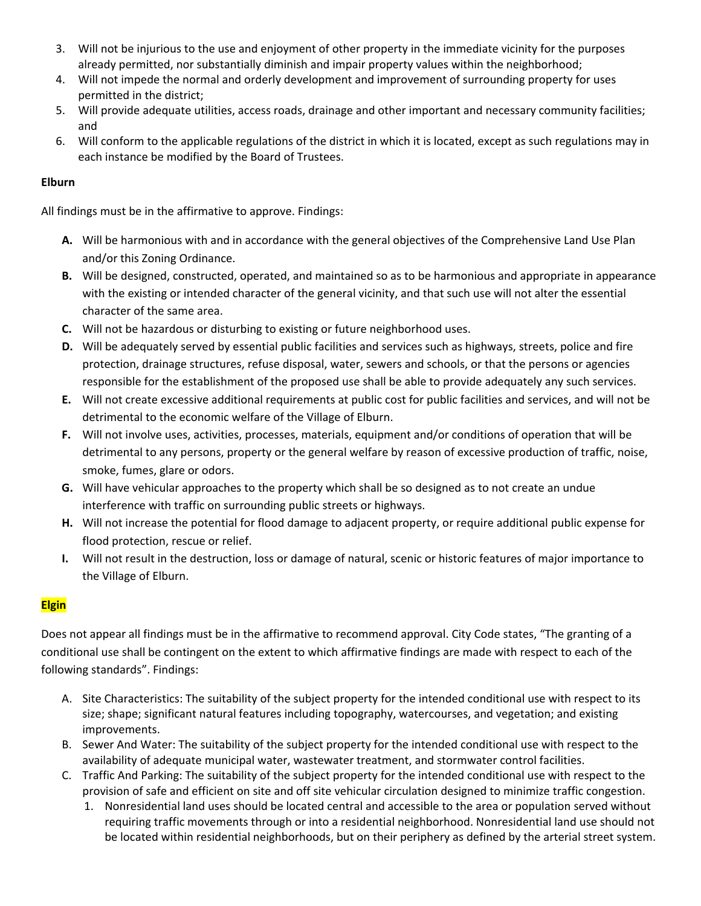- 3. Will not be injurious to the use and enjoyment of other property in the immediate vicinity for the purposes already permitted, nor substantially diminish and impair property values within the neighborhood;
- 4. Will not impede the normal and orderly development and improvement of surrounding property for uses permitted in the district;
- 5. Will provide adequate utilities, access roads, drainage and other important and necessary community facilities; and
- 6. Will conform to the applicable regulations of the district in which it is located, except as such regulations may in each instance be modified by the Board of Trustees.

#### **Elburn**

All findings must be in the affirmative to approve. Findings:

- **A.** Will be harmonious with and in accordance with the general objectives of the Comprehensive Land Use Plan and/or this Zoning Ordinance.
- **B.** Will be designed, constructed, operated, and maintained so as to be harmonious and appropriate in appearance with the existing or intended character of the general vicinity, and that such use will not alter the essential character of the same area.
- **C.** Will not be hazardous or disturbing to existing or future neighborhood uses.
- **D.** Will be adequately served by essential public facilities and services such as highways, streets, police and fire protection, drainage structures, refuse disposal, water, sewers and schools, or that the persons or agencies responsible for the establishment of the proposed use shall be able to provide adequately any such services.
- **E.** Will not create excessive additional requirements at public cost for public facilities and services, and will not be detrimental to the economic welfare of the Village of Elburn.
- **F.** Will not involve uses, activities, processes, materials, equipment and/or conditions of operation that will be detrimental to any persons, property or the general welfare by reason of excessive production of traffic, noise, smoke, fumes, glare or odors.
- **G.** Will have vehicular approaches to the property which shall be so designed as to not create an undue interference with traffic on surrounding public streets or highways.
- **H.** Will not increase the potential for flood damage to adjacent property, or require additional public expense for flood protection, rescue or relief.
- **I.** Will not result in the destruction, loss or damage of natural, scenic or historic features of major importance to the Village of Elburn.

### **Elgin**

Does not appear all findings must be in the affirmative to recommend approval. City Code states, "The granting of a conditional use shall be contingent on the extent to which affirmative findings are made with respect to each of the following standards". Findings:

- A. Site Characteristics: The suitability of the subject property for the intended conditional use with respect to its size; shape; significant natural features including topography, watercourses, and vegetation; and existing improvements.
- B. Sewer And Water: The suitability of the subject property for the intended conditional use with respect to the availability of adequate municipal water, wastewater treatment, and stormwater control facilities.
- C. Traffic And Parking: The suitability of the subject property for the intended conditional use with respect to the provision of safe and efficient on site and off site vehicular circulation designed to minimize traffic congestion.
	- 1. Nonresidential land uses should be located central and accessible to the area or population served without requiring traffic movements through or into a residential neighborhood. Nonresidential land use should not be located within residential neighborhoods, but on their periphery as defined by the arterial street system.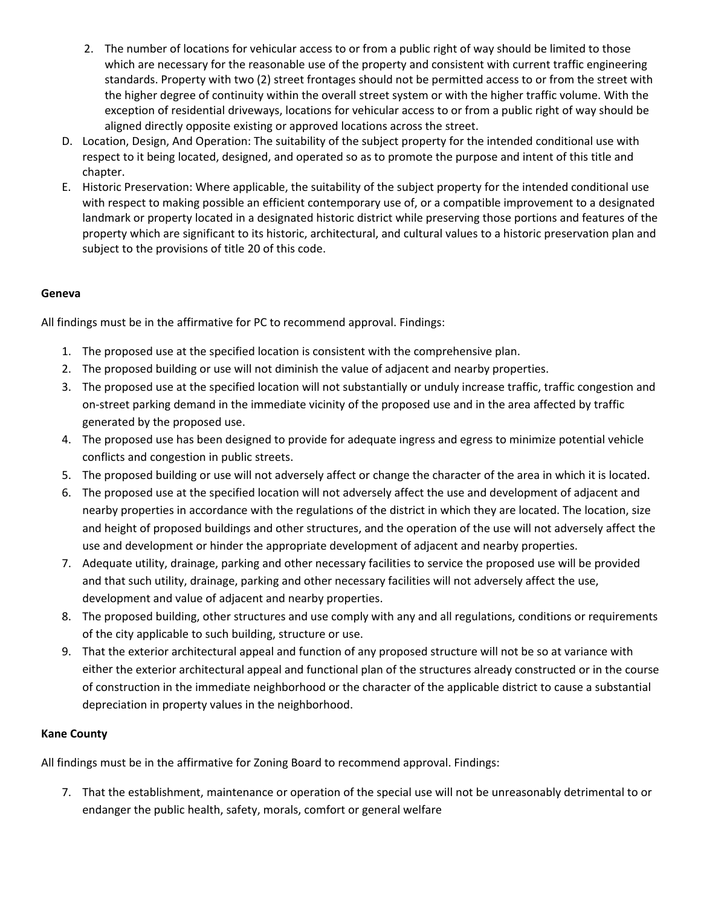- 2. The number of locations for vehicular access to or from a public right of way should be limited to those which are necessary for the reasonable use of the property and consistent with current traffic engineering standards. Property with two (2) street frontages should not be permitted access to or from the street with the higher degree of continuity within the overall street system or with the higher traffic volume. With the exception of residential driveways, locations for vehicular access to or from a public right of way should be aligned directly opposite existing or approved locations across the street.
- D. Location, Design, And Operation: The suitability of the subject property for the intended conditional use with respect to it being located, designed, and operated so as to promote the purpose and intent of this title and chapter.
- E. Historic Preservation: Where applicable, the suitability of the subject property for the intended conditional use with respect to making possible an efficient contemporary use of, or a compatible improvement to a designated landmark or property located in a designated historic district while preserving those portions and features of the property which are significant to its historic, architectural, and cultural values to a historic preservation plan and subject to the provisions of title 20 of this code.

#### **Geneva**

All findings must be in the affirmative for PC to recommend approval. Findings:

- 1. The proposed use at the specified location is consistent with the comprehensive plan.
- 2. The proposed building or use will not diminish the value of adjacent and nearby properties.
- 3. The proposed use at the specified location will not substantially or unduly increase traffic, traffic congestion and on‐street parking demand in the immediate vicinity of the proposed use and in the area affected by traffic generated by the proposed use.
- 4. The proposed use has been designed to provide for adequate ingress and egress to minimize potential vehicle conflicts and congestion in public streets.
- 5. The proposed building or use will not adversely affect or change the character of the area in which it is located.
- 6. The proposed use at the specified location will not adversely affect the use and development of adjacent and nearby properties in accordance with the regulations of the district in which they are located. The location, size and height of proposed buildings and other structures, and the operation of the use will not adversely affect the use and development or hinder the appropriate development of adjacent and nearby properties.
- 7. Adequate utility, drainage, parking and other necessary facilities to service the proposed use will be provided and that such utility, drainage, parking and other necessary facilities will not adversely affect the use, development and value of adjacent and nearby properties.
- 8. The proposed building, other structures and use comply with any and all regulations, conditions or requirements of the city applicable to such building, structure or use.
- 9. That the exterior architectural appeal and function of any proposed structure will not be so at variance with either the exterior architectural appeal and functional plan of the structures already constructed or in the course of construction in the immediate neighborhood or the character of the applicable district to cause a substantial depreciation in property values in the neighborhood.

#### **Kane County**

All findings must be in the affirmative for Zoning Board to recommend approval. Findings:

7. That the establishment, maintenance or operation of the special use will not be unreasonably detrimental to or endanger the public health, safety, morals, comfort or general welfare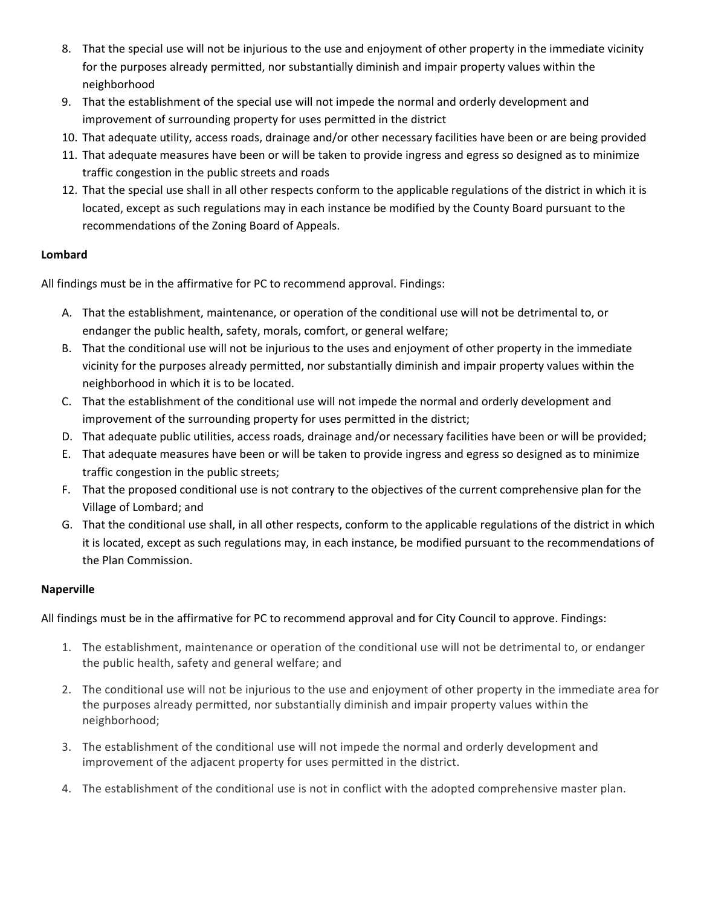- 8. That the special use will not be injurious to the use and enjoyment of other property in the immediate vicinity for the purposes already permitted, nor substantially diminish and impair property values within the neighborhood
- 9. That the establishment of the special use will not impede the normal and orderly development and improvement of surrounding property for uses permitted in the district
- 10. That adequate utility, access roads, drainage and/or other necessary facilities have been or are being provided
- 11. That adequate measures have been or will be taken to provide ingress and egress so designed as to minimize traffic congestion in the public streets and roads
- 12. That the special use shall in all other respects conform to the applicable regulations of the district in which it is located, except as such regulations may in each instance be modified by the County Board pursuant to the recommendations of the Zoning Board of Appeals.

#### **Lombard**

All findings must be in the affirmative for PC to recommend approval. Findings:

- A. That the establishment, maintenance, or operation of the conditional use will not be detrimental to, or endanger the public health, safety, morals, comfort, or general welfare;
- B. That the conditional use will not be injurious to the uses and enjoyment of other property in the immediate vicinity for the purposes already permitted, nor substantially diminish and impair property values within the neighborhood in which it is to be located.
- C. That the establishment of the conditional use will not impede the normal and orderly development and improvement of the surrounding property for uses permitted in the district;
- D. That adequate public utilities, access roads, drainage and/or necessary facilities have been or will be provided;
- E. That adequate measures have been or will be taken to provide ingress and egress so designed as to minimize traffic congestion in the public streets;
- F. That the proposed conditional use is not contrary to the objectives of the current comprehensive plan for the Village of Lombard; and
- G. That the conditional use shall, in all other respects, conform to the applicable regulations of the district in which it is located, except as such regulations may, in each instance, be modified pursuant to the recommendations of the Plan Commission.

#### **Naperville**

All findings must be in the affirmative for PC to recommend approval and for City Council to approve. Findings:

- 1. The establishment, maintenance or operation of the conditional use will not be detrimental to, or endanger the public health, safety and general welfare; and
- 2. The conditional use will not be injurious to the use and enjoyment of other property in the immediate area for the purposes already permitted, nor substantially diminish and impair property values within the neighborhood;
- 3. The establishment of the conditional use will not impede the normal and orderly development and improvement of the adjacent property for uses permitted in the district.
- 4. The establishment of the conditional use is not in conflict with the adopted comprehensive master plan.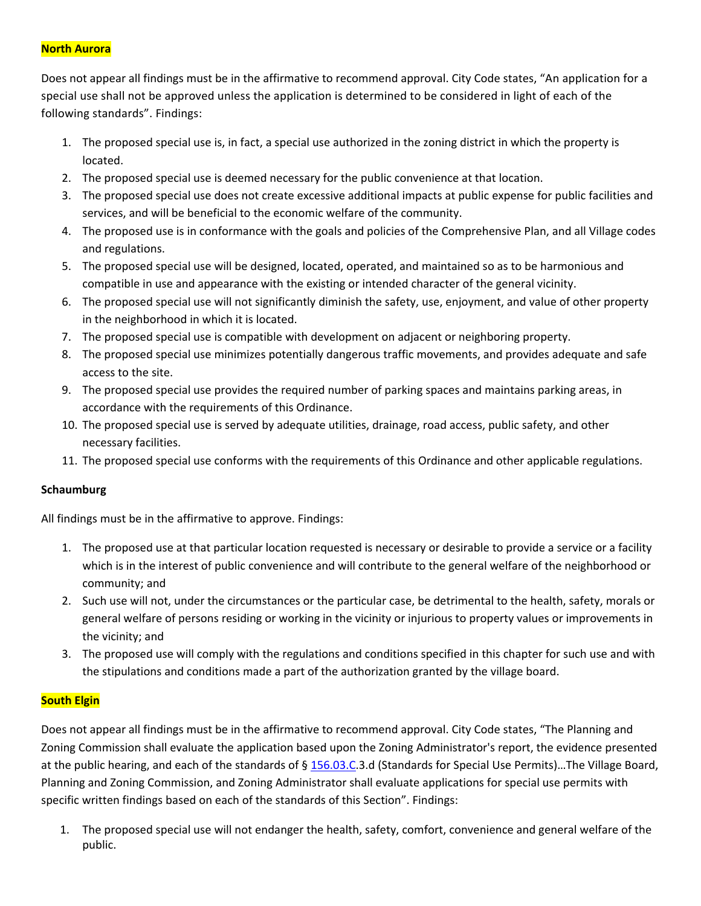#### **North Aurora**

Does not appear all findings must be in the affirmative to recommend approval. City Code states, "An application for a special use shall not be approved unless the application is determined to be considered in light of each of the following standards". Findings:

- 1. The proposed special use is, in fact, a special use authorized in the zoning district in which the property is located.
- 2. The proposed special use is deemed necessary for the public convenience at that location.
- 3. The proposed special use does not create excessive additional impacts at public expense for public facilities and services, and will be beneficial to the economic welfare of the community.
- 4. The proposed use is in conformance with the goals and policies of the Comprehensive Plan, and all Village codes and regulations.
- 5. The proposed special use will be designed, located, operated, and maintained so as to be harmonious and compatible in use and appearance with the existing or intended character of the general vicinity.
- 6. The proposed special use will not significantly diminish the safety, use, enjoyment, and value of other property in the neighborhood in which it is located.
- 7. The proposed special use is compatible with development on adjacent or neighboring property.
- 8. The proposed special use minimizes potentially dangerous traffic movements, and provides adequate and safe access to the site.
- 9. The proposed special use provides the required number of parking spaces and maintains parking areas, in accordance with the requirements of this Ordinance.
- 10. The proposed special use is served by adequate utilities, drainage, road access, public safety, and other necessary facilities.
- 11. The proposed special use conforms with the requirements of this Ordinance and other applicable regulations.

#### **Schaumburg**

All findings must be in the affirmative to approve. Findings:

- 1. The proposed use at that particular location requested is necessary or desirable to provide a service or a facility which is in the interest of public convenience and will contribute to the general welfare of the neighborhood or community; and
- 2. Such use will not, under the circumstances or the particular case, be detrimental to the health, safety, morals or general welfare of persons residing or working in the vicinity or injurious to property values or improvements in the vicinity; and
- 3. The proposed use will comply with the regulations and conditions specified in this chapter for such use and with the stipulations and conditions made a part of the authorization granted by the village board.

#### **South Elgin**

Does not appear all findings must be in the affirmative to recommend approval. City Code states, "The Planning and Zoning Commission shall evaluate the application based upon the Zoning Administrator's report, the evidence presented at the public hearing, and each of the standards of § 156.03.C.3.d (Standards for Special Use Permits)…The Village Board, Planning and Zoning Commission, and Zoning Administrator shall evaluate applications for special use permits with specific written findings based on each of the standards of this Section". Findings:

1. The proposed special use will not endanger the health, safety, comfort, convenience and general welfare of the public.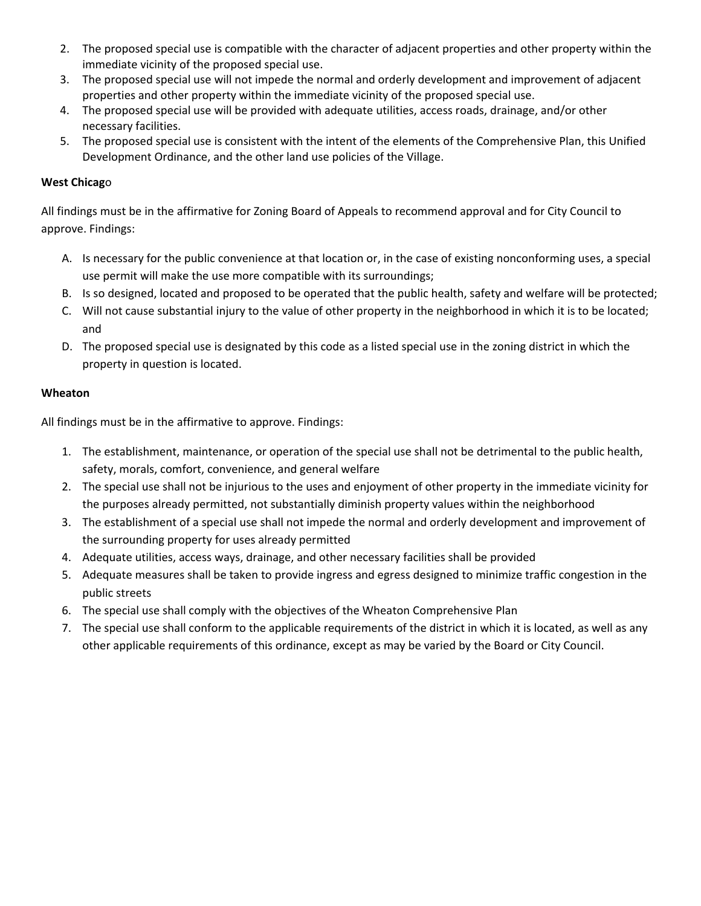- 2. The proposed special use is compatible with the character of adjacent properties and other property within the immediate vicinity of the proposed special use.
- 3. The proposed special use will not impede the normal and orderly development and improvement of adjacent properties and other property within the immediate vicinity of the proposed special use.
- 4. The proposed special use will be provided with adequate utilities, access roads, drainage, and/or other necessary facilities.
- 5. The proposed special use is consistent with the intent of the elements of the Comprehensive Plan, this Unified Development Ordinance, and the other land use policies of the Village.

#### **West Chicag**o

All findings must be in the affirmative for Zoning Board of Appeals to recommend approval and for City Council to approve. Findings:

- A. Is necessary for the public convenience at that location or, in the case of existing nonconforming uses, a special use permit will make the use more compatible with its surroundings;
- B. Is so designed, located and proposed to be operated that the public health, safety and welfare will be protected;
- C. Will not cause substantial injury to the value of other property in the neighborhood in which it is to be located; and
- D. The proposed special use is designated by this code as a listed special use in the zoning district in which the property in question is located.

#### **Wheaton**

All findings must be in the affirmative to approve. Findings:

- 1. The establishment, maintenance, or operation of the special use shall not be detrimental to the public health, safety, morals, comfort, convenience, and general welfare
- 2. The special use shall not be injurious to the uses and enjoyment of other property in the immediate vicinity for the purposes already permitted, not substantially diminish property values within the neighborhood
- 3. The establishment of a special use shall not impede the normal and orderly development and improvement of the surrounding property for uses already permitted
- 4. Adequate utilities, access ways, drainage, and other necessary facilities shall be provided
- 5. Adequate measures shall be taken to provide ingress and egress designed to minimize traffic congestion in the public streets
- 6. The special use shall comply with the objectives of the Wheaton Comprehensive Plan
- 7. The special use shall conform to the applicable requirements of the district in which it is located, as well as any other applicable requirements of this ordinance, except as may be varied by the Board or City Council.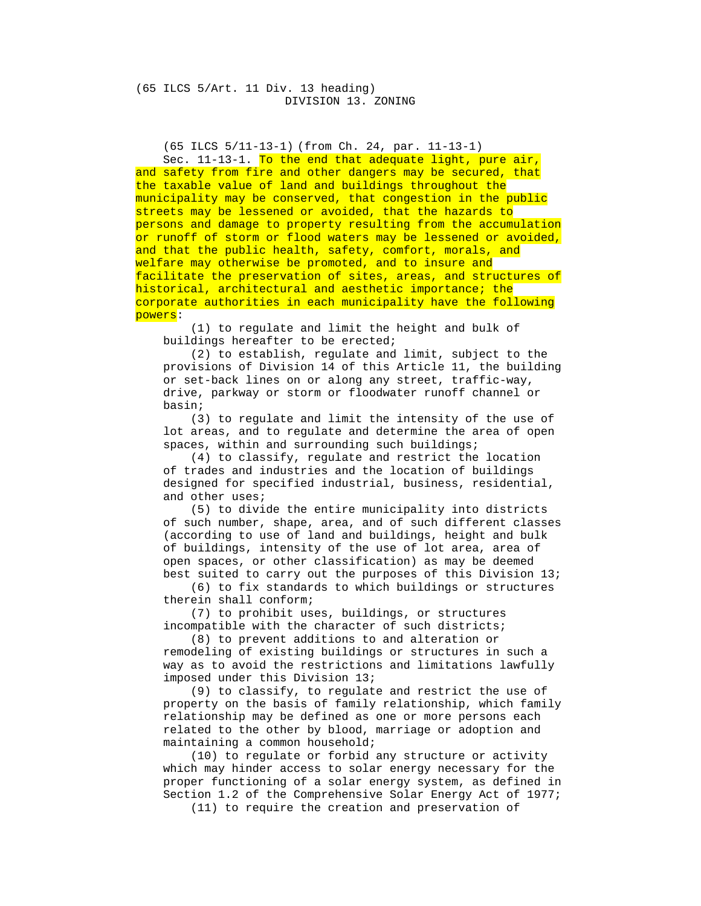(65 ILCS 5/11-13-1) (from Ch. 24, par. 11-13-1)

Sec. 11-13-1. To the end that adequate light, pure air, and safety from fire and other dangers may be secured, that the taxable value of land and buildings throughout the municipality may be conserved, that congestion in the public streets may be lessened or avoided, that the hazards to persons and damage to property resulting from the accumulation or runoff of storm or flood waters may be lessened or avoided, and that the public health, safety, comfort, morals, and welfare may otherwise be promoted, and to insure and facilitate the preservation of sites, areas, and structures of historical, architectural and aesthetic importance; the corporate authorities in each municipality have the following powers:

 (1) to regulate and limit the height and bulk of buildings hereafter to be erected;

 (2) to establish, regulate and limit, subject to the provisions of Division 14 of this Article 11, the building or set-back lines on or along any street, traffic-way, drive, parkway or storm or floodwater runoff channel or basin;

 (3) to regulate and limit the intensity of the use of lot areas, and to regulate and determine the area of open spaces, within and surrounding such buildings;

 (4) to classify, regulate and restrict the location of trades and industries and the location of buildings designed for specified industrial, business, residential, and other uses;

 (5) to divide the entire municipality into districts of such number, shape, area, and of such different classes (according to use of land and buildings, height and bulk of buildings, intensity of the use of lot area, area of open spaces, or other classification) as may be deemed best suited to carry out the purposes of this Division 13;

 (6) to fix standards to which buildings or structures therein shall conform;

 (7) to prohibit uses, buildings, or structures incompatible with the character of such districts;

 (8) to prevent additions to and alteration or remodeling of existing buildings or structures in such a way as to avoid the restrictions and limitations lawfully imposed under this Division 13;

 (9) to classify, to regulate and restrict the use of property on the basis of family relationship, which family relationship may be defined as one or more persons each related to the other by blood, marriage or adoption and maintaining a common household;

 (10) to regulate or forbid any structure or activity which may hinder access to solar energy necessary for the proper functioning of a solar energy system, as defined in Section 1.2 of the Comprehensive Solar Energy Act of 1977;

(11) to require the creation and preservation of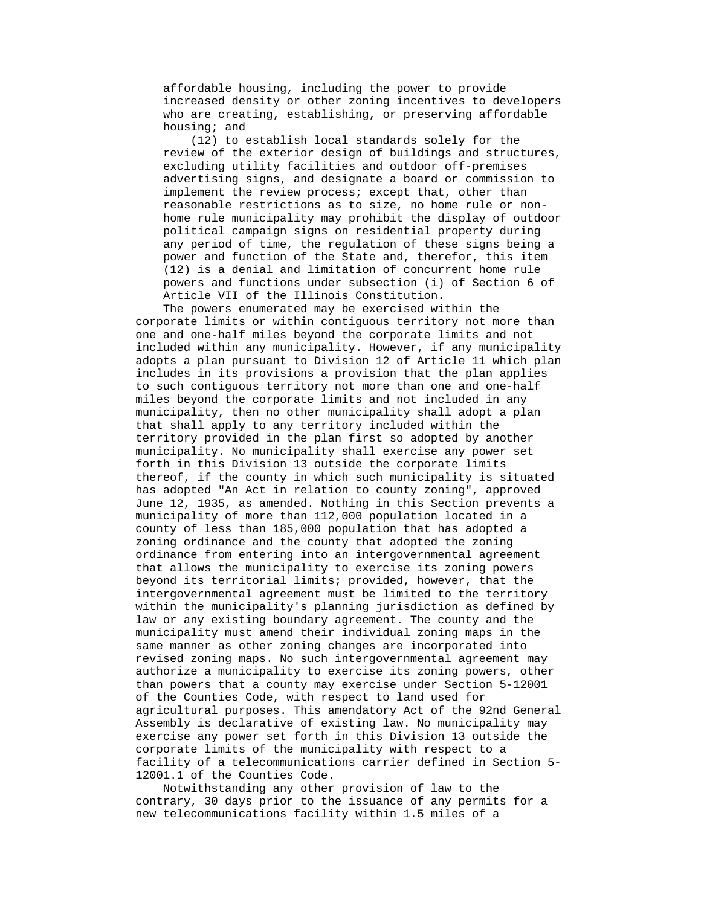affordable housing, including the power to provide increased density or other zoning incentives to developers who are creating, establishing, or preserving affordable housing; and

 (12) to establish local standards solely for the review of the exterior design of buildings and structures, excluding utility facilities and outdoor off-premises advertising signs, and designate a board or commission to implement the review process; except that, other than reasonable restrictions as to size, no home rule or nonhome rule municipality may prohibit the display of outdoor political campaign signs on residential property during any period of time, the regulation of these signs being a power and function of the State and, therefor, this item (12) is a denial and limitation of concurrent home rule powers and functions under subsection (i) of Section 6 of Article VII of the Illinois Constitution.

 The powers enumerated may be exercised within the corporate limits or within contiguous territory not more than one and one-half miles beyond the corporate limits and not included within any municipality. However, if any municipality adopts a plan pursuant to Division 12 of Article 11 which plan includes in its provisions a provision that the plan applies to such contiguous territory not more than one and one-half miles beyond the corporate limits and not included in any municipality, then no other municipality shall adopt a plan that shall apply to any territory included within the territory provided in the plan first so adopted by another municipality. No municipality shall exercise any power set forth in this Division 13 outside the corporate limits thereof, if the county in which such municipality is situated has adopted "An Act in relation to county zoning", approved June 12, 1935, as amended. Nothing in this Section prevents a municipality of more than 112,000 population located in a county of less than 185,000 population that has adopted a zoning ordinance and the county that adopted the zoning ordinance from entering into an intergovernmental agreement that allows the municipality to exercise its zoning powers beyond its territorial limits; provided, however, that the intergovernmental agreement must be limited to the territory within the municipality's planning jurisdiction as defined by law or any existing boundary agreement. The county and the municipality must amend their individual zoning maps in the same manner as other zoning changes are incorporated into revised zoning maps. No such intergovernmental agreement may authorize a municipality to exercise its zoning powers, other than powers that a county may exercise under Section 5-12001 of the Counties Code, with respect to land used for agricultural purposes. This amendatory Act of the 92nd General Assembly is declarative of existing law. No municipality may exercise any power set forth in this Division 13 outside the corporate limits of the municipality with respect to a facility of a telecommunications carrier defined in Section 5- 12001.1 of the Counties Code.

 Notwithstanding any other provision of law to the contrary, 30 days prior to the issuance of any permits for a new telecommunications facility within 1.5 miles of a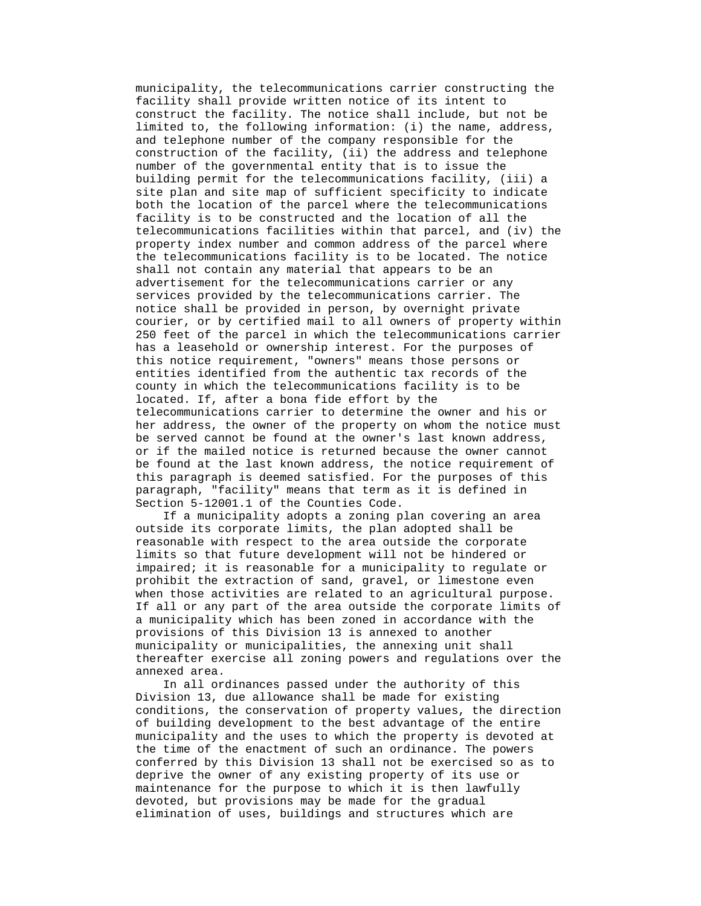municipality, the telecommunications carrier constructing the facility shall provide written notice of its intent to construct the facility. The notice shall include, but not be limited to, the following information: (i) the name, address, and telephone number of the company responsible for the construction of the facility, (ii) the address and telephone number of the governmental entity that is to issue the building permit for the telecommunications facility, (iii) a site plan and site map of sufficient specificity to indicate both the location of the parcel where the telecommunications facility is to be constructed and the location of all the telecommunications facilities within that parcel, and (iv) the property index number and common address of the parcel where the telecommunications facility is to be located. The notice shall not contain any material that appears to be an advertisement for the telecommunications carrier or any services provided by the telecommunications carrier. The notice shall be provided in person, by overnight private courier, or by certified mail to all owners of property within 250 feet of the parcel in which the telecommunications carrier has a leasehold or ownership interest. For the purposes of this notice requirement, "owners" means those persons or entities identified from the authentic tax records of the county in which the telecommunications facility is to be located. If, after a bona fide effort by the telecommunications carrier to determine the owner and his or her address, the owner of the property on whom the notice must be served cannot be found at the owner's last known address, or if the mailed notice is returned because the owner cannot be found at the last known address, the notice requirement of this paragraph is deemed satisfied. For the purposes of this paragraph, "facility" means that term as it is defined in Section 5-12001.1 of the Counties Code.

 If a municipality adopts a zoning plan covering an area outside its corporate limits, the plan adopted shall be reasonable with respect to the area outside the corporate limits so that future development will not be hindered or impaired; it is reasonable for a municipality to regulate or prohibit the extraction of sand, gravel, or limestone even when those activities are related to an agricultural purpose. If all or any part of the area outside the corporate limits of a municipality which has been zoned in accordance with the provisions of this Division 13 is annexed to another municipality or municipalities, the annexing unit shall thereafter exercise all zoning powers and regulations over the annexed area.

 In all ordinances passed under the authority of this Division 13, due allowance shall be made for existing conditions, the conservation of property values, the direction of building development to the best advantage of the entire municipality and the uses to which the property is devoted at the time of the enactment of such an ordinance. The powers conferred by this Division 13 shall not be exercised so as to deprive the owner of any existing property of its use or maintenance for the purpose to which it is then lawfully devoted, but provisions may be made for the gradual elimination of uses, buildings and structures which are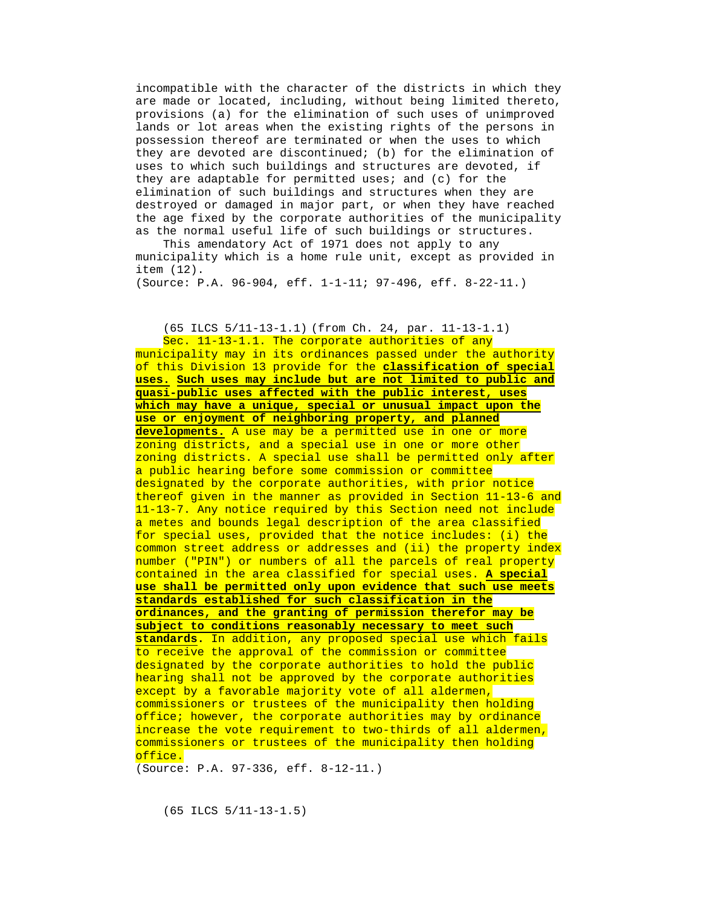incompatible with the character of the districts in which they are made or located, including, without being limited thereto, provisions (a) for the elimination of such uses of unimproved lands or lot areas when the existing rights of the persons in possession thereof are terminated or when the uses to which they are devoted are discontinued; (b) for the elimination of uses to which such buildings and structures are devoted, if they are adaptable for permitted uses; and (c) for the elimination of such buildings and structures when they are destroyed or damaged in major part, or when they have reached the age fixed by the corporate authorities of the municipality as the normal useful life of such buildings or structures.

 This amendatory Act of 1971 does not apply to any municipality which is a home rule unit, except as provided in item (12).

(Source: P.A. 96-904, eff. 1-1-11; 97-496, eff. 8-22-11.)

#### (65 ILCS 5/11-13-1.1) (from Ch. 24, par. 11-13-1.1)

Sec. 11-13-1.1. The corporate authorities of any municipality may in its ordinances passed under the authority of this Division 13 provide for the **classification of special uses. Such uses may include but are not limited to public and quasi-public uses affected with the public interest, uses which may have a unique, special or unusual impact upon the use or enjoyment of neighboring property, and planned developments.** A use may be a permitted use in one or more zoning districts, and a special use in one or more other zoning districts. A special use shall be permitted only after a public hearing before some commission or committee designated by the corporate authorities, with prior notice thereof given in the manner as provided in Section 11-13-6 and 11-13-7. Any notice required by this Section need not include a metes and bounds legal description of the area classified for special uses, provided that the notice includes: (i) the common street address or addresses and (ii) the property index number ("PIN") or numbers of all the parcels of real property contained in the area classified for special uses. **A special use shall be permitted only upon evidence that such use meets standards established for such classification in the ordinances, and the granting of permission therefor may be subject to conditions reasonably necessary to meet such standards.** In addition, any proposed special use which fails to receive the approval of the commission or committee designated by the corporate authorities to hold the public hearing shall not be approved by the corporate authorities except by a favorable majority vote of all aldermen, commissioners or trustees of the municipality then holding office; however, the corporate authorities may by ordinance increase the vote requirement to two-thirds of all aldermen, commissioners or trustees of the municipality then holding office.

(Source: P.A. 97-336, eff. 8-12-11.)

(65 ILCS 5/11-13-1.5)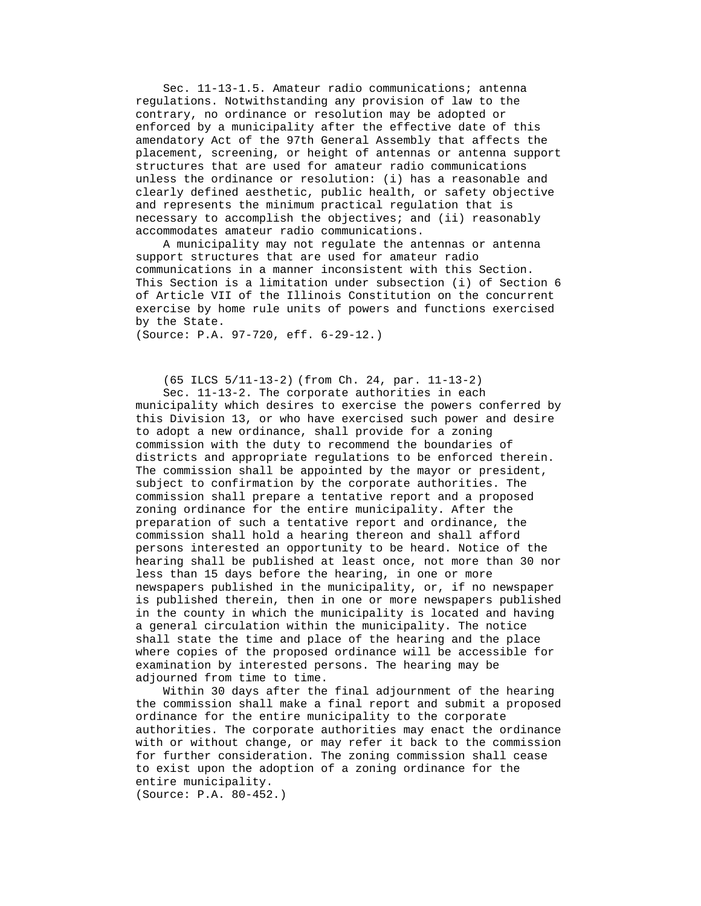Sec. 11-13-1.5. Amateur radio communications; antenna regulations. Notwithstanding any provision of law to the contrary, no ordinance or resolution may be adopted or enforced by a municipality after the effective date of this amendatory Act of the 97th General Assembly that affects the placement, screening, or height of antennas or antenna support structures that are used for amateur radio communications unless the ordinance or resolution: (i) has a reasonable and clearly defined aesthetic, public health, or safety objective and represents the minimum practical regulation that is necessary to accomplish the objectives; and (ii) reasonably accommodates amateur radio communications.

 A municipality may not regulate the antennas or antenna support structures that are used for amateur radio communications in a manner inconsistent with this Section. This Section is a limitation under subsection (i) of Section 6 of Article VII of the Illinois Constitution on the concurrent exercise by home rule units of powers and functions exercised by the State.

(Source: P.A. 97-720, eff. 6-29-12.)

(65 ILCS 5/11-13-2) (from Ch. 24, par. 11-13-2)

 Sec. 11-13-2. The corporate authorities in each municipality which desires to exercise the powers conferred by this Division 13, or who have exercised such power and desire to adopt a new ordinance, shall provide for a zoning commission with the duty to recommend the boundaries of districts and appropriate regulations to be enforced therein. The commission shall be appointed by the mayor or president, subject to confirmation by the corporate authorities. The commission shall prepare a tentative report and a proposed zoning ordinance for the entire municipality. After the preparation of such a tentative report and ordinance, the commission shall hold a hearing thereon and shall afford persons interested an opportunity to be heard. Notice of the hearing shall be published at least once, not more than 30 nor less than 15 days before the hearing, in one or more newspapers published in the municipality, or, if no newspaper is published therein, then in one or more newspapers published in the county in which the municipality is located and having a general circulation within the municipality. The notice shall state the time and place of the hearing and the place where copies of the proposed ordinance will be accessible for examination by interested persons. The hearing may be adjourned from time to time.

 Within 30 days after the final adjournment of the hearing the commission shall make a final report and submit a proposed ordinance for the entire municipality to the corporate authorities. The corporate authorities may enact the ordinance with or without change, or may refer it back to the commission for further consideration. The zoning commission shall cease to exist upon the adoption of a zoning ordinance for the entire municipality. (Source: P.A. 80-452.)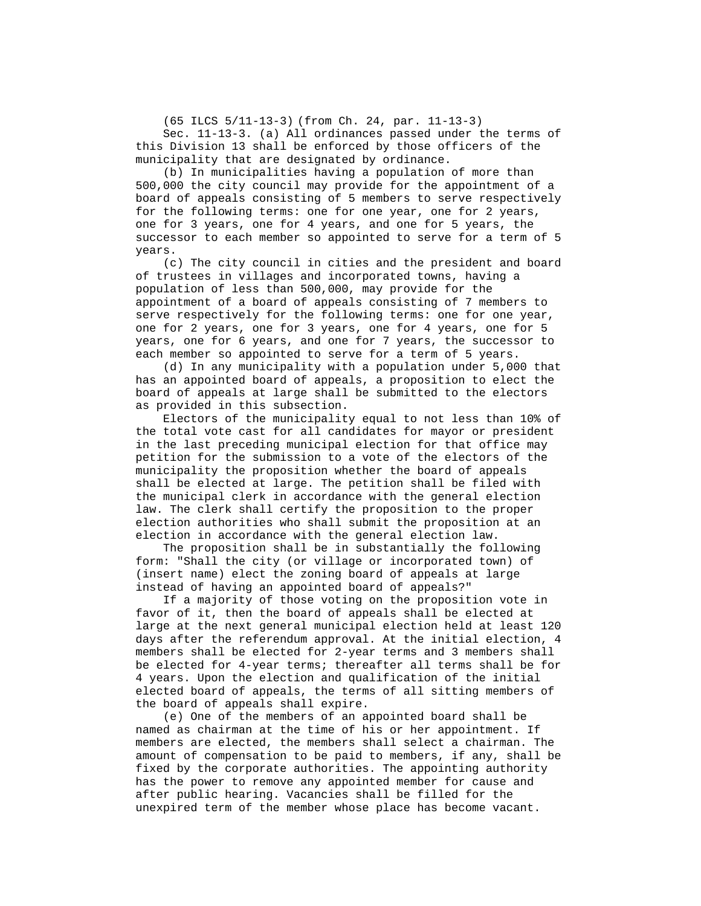(65 ILCS 5/11-13-3) (from Ch. 24, par. 11-13-3)

 Sec. 11-13-3. (a) All ordinances passed under the terms of this Division 13 shall be enforced by those officers of the municipality that are designated by ordinance.

 (b) In municipalities having a population of more than 500,000 the city council may provide for the appointment of a board of appeals consisting of 5 members to serve respectively for the following terms: one for one year, one for 2 years, one for 3 years, one for 4 years, and one for 5 years, the successor to each member so appointed to serve for a term of 5 years.

 (c) The city council in cities and the president and board of trustees in villages and incorporated towns, having a population of less than 500,000, may provide for the appointment of a board of appeals consisting of 7 members to serve respectively for the following terms: one for one year, one for 2 years, one for 3 years, one for 4 years, one for 5 years, one for 6 years, and one for 7 years, the successor to each member so appointed to serve for a term of 5 years.

 (d) In any municipality with a population under 5,000 that has an appointed board of appeals, a proposition to elect the board of appeals at large shall be submitted to the electors as provided in this subsection.

 Electors of the municipality equal to not less than 10% of the total vote cast for all candidates for mayor or president in the last preceding municipal election for that office may petition for the submission to a vote of the electors of the municipality the proposition whether the board of appeals shall be elected at large. The petition shall be filed with the municipal clerk in accordance with the general election law. The clerk shall certify the proposition to the proper election authorities who shall submit the proposition at an election in accordance with the general election law.

 The proposition shall be in substantially the following form: "Shall the city (or village or incorporated town) of (insert name) elect the zoning board of appeals at large instead of having an appointed board of appeals?"

 If a majority of those voting on the proposition vote in favor of it, then the board of appeals shall be elected at large at the next general municipal election held at least 120 days after the referendum approval. At the initial election, 4 members shall be elected for 2-year terms and 3 members shall be elected for 4-year terms; thereafter all terms shall be for 4 years. Upon the election and qualification of the initial elected board of appeals, the terms of all sitting members of the board of appeals shall expire.

 (e) One of the members of an appointed board shall be named as chairman at the time of his or her appointment. If members are elected, the members shall select a chairman. The amount of compensation to be paid to members, if any, shall be fixed by the corporate authorities. The appointing authority has the power to remove any appointed member for cause and after public hearing. Vacancies shall be filled for the unexpired term of the member whose place has become vacant.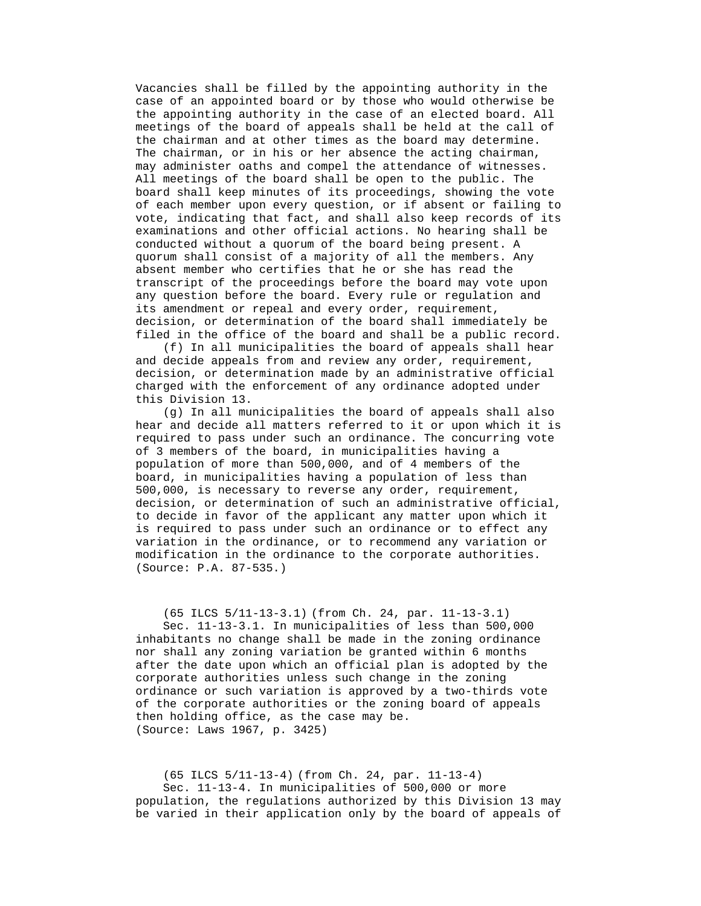Vacancies shall be filled by the appointing authority in the case of an appointed board or by those who would otherwise be the appointing authority in the case of an elected board. All meetings of the board of appeals shall be held at the call of the chairman and at other times as the board may determine. The chairman, or in his or her absence the acting chairman, may administer oaths and compel the attendance of witnesses. All meetings of the board shall be open to the public. The board shall keep minutes of its proceedings, showing the vote of each member upon every question, or if absent or failing to vote, indicating that fact, and shall also keep records of its examinations and other official actions. No hearing shall be conducted without a quorum of the board being present. A quorum shall consist of a majority of all the members. Any absent member who certifies that he or she has read the transcript of the proceedings before the board may vote upon any question before the board. Every rule or regulation and its amendment or repeal and every order, requirement, decision, or determination of the board shall immediately be filed in the office of the board and shall be a public record.

 (f) In all municipalities the board of appeals shall hear and decide appeals from and review any order, requirement, decision, or determination made by an administrative official charged with the enforcement of any ordinance adopted under this Division 13.

 (g) In all municipalities the board of appeals shall also hear and decide all matters referred to it or upon which it is required to pass under such an ordinance. The concurring vote of 3 members of the board, in municipalities having a population of more than 500,000, and of 4 members of the board, in municipalities having a population of less than 500,000, is necessary to reverse any order, requirement, decision, or determination of such an administrative official, to decide in favor of the applicant any matter upon which it is required to pass under such an ordinance or to effect any variation in the ordinance, or to recommend any variation or modification in the ordinance to the corporate authorities. (Source: P.A. 87-535.)

 (65 ILCS 5/11-13-3.1) (from Ch. 24, par. 11-13-3.1) Sec. 11-13-3.1. In municipalities of less than 500,000 inhabitants no change shall be made in the zoning ordinance nor shall any zoning variation be granted within 6 months after the date upon which an official plan is adopted by the corporate authorities unless such change in the zoning ordinance or such variation is approved by a two-thirds vote of the corporate authorities or the zoning board of appeals then holding office, as the case may be. (Source: Laws 1967, p. 3425)

 (65 ILCS 5/11-13-4) (from Ch. 24, par. 11-13-4) Sec. 11-13-4. In municipalities of 500,000 or more population, the regulations authorized by this Division 13 may be varied in their application only by the board of appeals of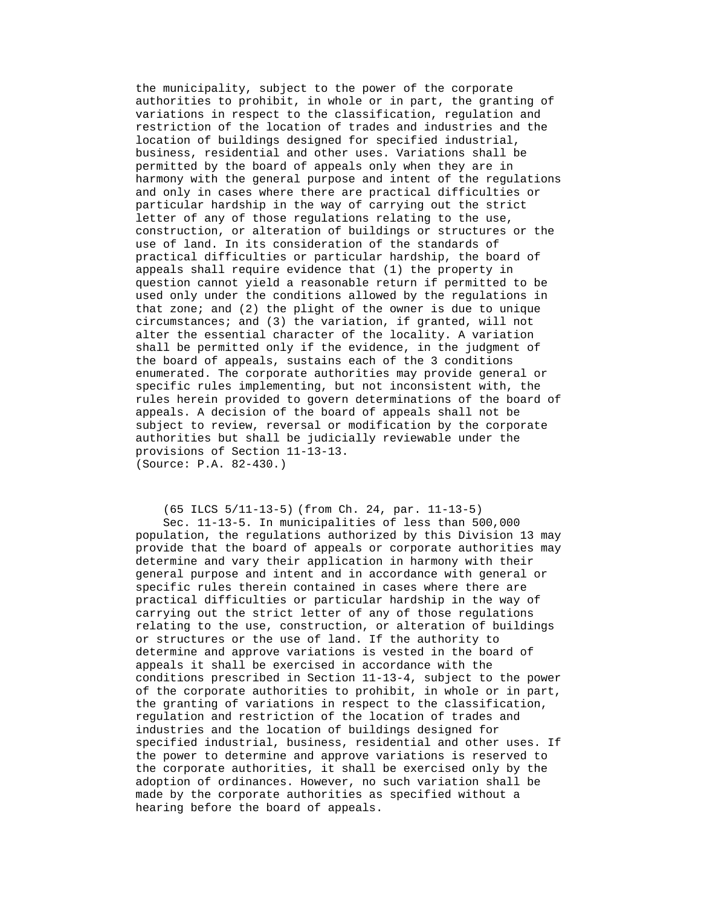the municipality, subject to the power of the corporate authorities to prohibit, in whole or in part, the granting of variations in respect to the classification, regulation and restriction of the location of trades and industries and the location of buildings designed for specified industrial, business, residential and other uses. Variations shall be permitted by the board of appeals only when they are in harmony with the general purpose and intent of the regulations and only in cases where there are practical difficulties or particular hardship in the way of carrying out the strict letter of any of those regulations relating to the use, construction, or alteration of buildings or structures or the use of land. In its consideration of the standards of practical difficulties or particular hardship, the board of appeals shall require evidence that (1) the property in question cannot yield a reasonable return if permitted to be used only under the conditions allowed by the regulations in that zone; and (2) the plight of the owner is due to unique circumstances; and (3) the variation, if granted, will not alter the essential character of the locality. A variation shall be permitted only if the evidence, in the judgment of the board of appeals, sustains each of the 3 conditions enumerated. The corporate authorities may provide general or specific rules implementing, but not inconsistent with, the rules herein provided to govern determinations of the board of appeals. A decision of the board of appeals shall not be subject to review, reversal or modification by the corporate authorities but shall be judicially reviewable under the provisions of Section 11-13-13. (Source: P.A. 82-430.)

 (65 ILCS 5/11-13-5) (from Ch. 24, par. 11-13-5) Sec. 11-13-5. In municipalities of less than 500,000 population, the regulations authorized by this Division 13 may provide that the board of appeals or corporate authorities may determine and vary their application in harmony with their general purpose and intent and in accordance with general or specific rules therein contained in cases where there are practical difficulties or particular hardship in the way of carrying out the strict letter of any of those regulations relating to the use, construction, or alteration of buildings or structures or the use of land. If the authority to determine and approve variations is vested in the board of appeals it shall be exercised in accordance with the conditions prescribed in Section 11-13-4, subject to the power of the corporate authorities to prohibit, in whole or in part, the granting of variations in respect to the classification,

regulation and restriction of the location of trades and industries and the location of buildings designed for specified industrial, business, residential and other uses. If the power to determine and approve variations is reserved to the corporate authorities, it shall be exercised only by the adoption of ordinances. However, no such variation shall be made by the corporate authorities as specified without a hearing before the board of appeals.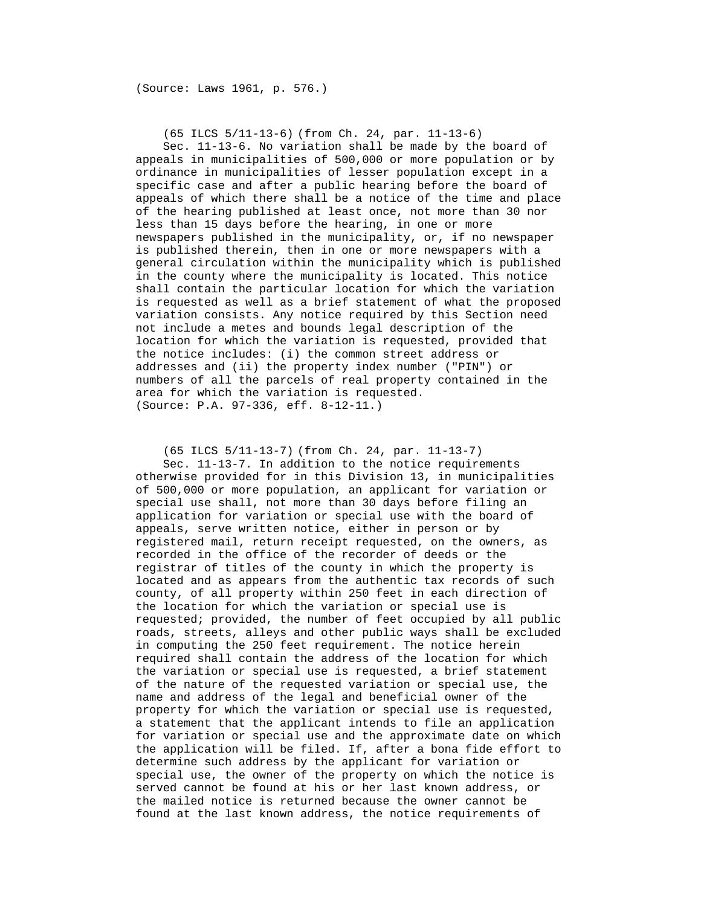(Source: Laws 1961, p. 576.)

(65 ILCS 5/11-13-6) (from Ch. 24, par. 11-13-6)

 Sec. 11-13-6. No variation shall be made by the board of appeals in municipalities of 500,000 or more population or by ordinance in municipalities of lesser population except in a specific case and after a public hearing before the board of appeals of which there shall be a notice of the time and place of the hearing published at least once, not more than 30 nor less than 15 days before the hearing, in one or more newspapers published in the municipality, or, if no newspaper is published therein, then in one or more newspapers with a general circulation within the municipality which is published in the county where the municipality is located. This notice shall contain the particular location for which the variation is requested as well as a brief statement of what the proposed variation consists. Any notice required by this Section need not include a metes and bounds legal description of the location for which the variation is requested, provided that the notice includes: (i) the common street address or addresses and (ii) the property index number ("PIN") or numbers of all the parcels of real property contained in the area for which the variation is requested. (Source: P.A. 97-336, eff. 8-12-11.)

 (65 ILCS 5/11-13-7) (from Ch. 24, par. 11-13-7) Sec. 11-13-7. In addition to the notice requirements otherwise provided for in this Division 13, in municipalities of 500,000 or more population, an applicant for variation or special use shall, not more than 30 days before filing an application for variation or special use with the board of appeals, serve written notice, either in person or by registered mail, return receipt requested, on the owners, as recorded in the office of the recorder of deeds or the registrar of titles of the county in which the property is located and as appears from the authentic tax records of such county, of all property within 250 feet in each direction of the location for which the variation or special use is requested; provided, the number of feet occupied by all public roads, streets, alleys and other public ways shall be excluded in computing the 250 feet requirement. The notice herein required shall contain the address of the location for which the variation or special use is requested, a brief statement of the nature of the requested variation or special use, the name and address of the legal and beneficial owner of the property for which the variation or special use is requested, a statement that the applicant intends to file an application for variation or special use and the approximate date on which the application will be filed. If, after a bona fide effort to determine such address by the applicant for variation or special use, the owner of the property on which the notice is served cannot be found at his or her last known address, or the mailed notice is returned because the owner cannot be found at the last known address, the notice requirements of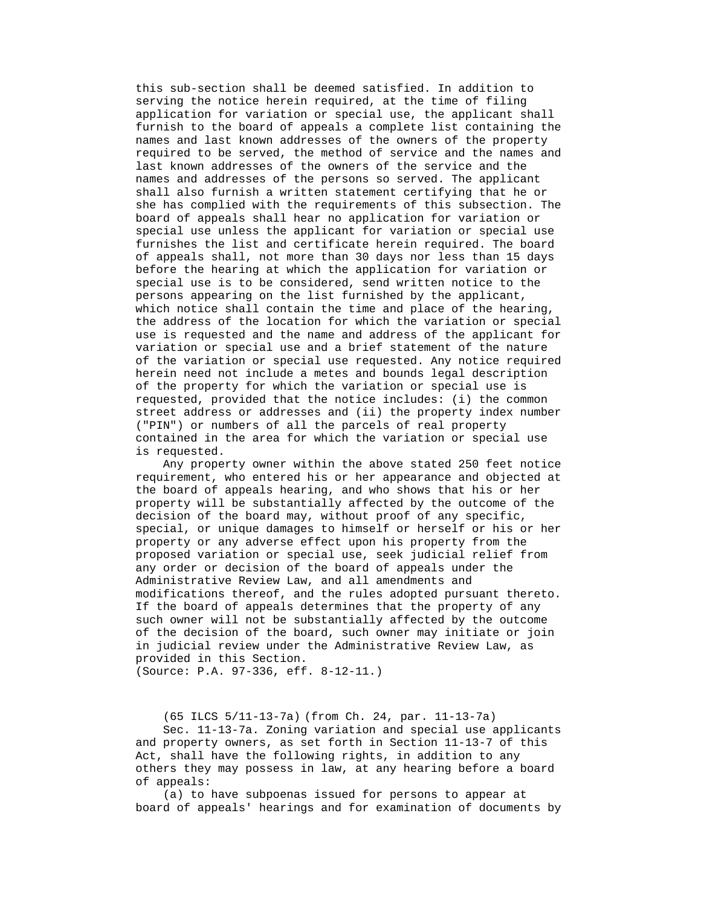this sub-section shall be deemed satisfied. In addition to serving the notice herein required, at the time of filing application for variation or special use, the applicant shall furnish to the board of appeals a complete list containing the names and last known addresses of the owners of the property required to be served, the method of service and the names and last known addresses of the owners of the service and the names and addresses of the persons so served. The applicant shall also furnish a written statement certifying that he or she has complied with the requirements of this subsection. The board of appeals shall hear no application for variation or special use unless the applicant for variation or special use furnishes the list and certificate herein required. The board of appeals shall, not more than 30 days nor less than 15 days before the hearing at which the application for variation or special use is to be considered, send written notice to the persons appearing on the list furnished by the applicant, which notice shall contain the time and place of the hearing, the address of the location for which the variation or special use is requested and the name and address of the applicant for variation or special use and a brief statement of the nature of the variation or special use requested. Any notice required herein need not include a metes and bounds legal description of the property for which the variation or special use is requested, provided that the notice includes: (i) the common street address or addresses and (ii) the property index number ("PIN") or numbers of all the parcels of real property contained in the area for which the variation or special use is requested.

 Any property owner within the above stated 250 feet notice requirement, who entered his or her appearance and objected at the board of appeals hearing, and who shows that his or her property will be substantially affected by the outcome of the decision of the board may, without proof of any specific, special, or unique damages to himself or herself or his or her property or any adverse effect upon his property from the proposed variation or special use, seek judicial relief from any order or decision of the board of appeals under the Administrative Review Law, and all amendments and modifications thereof, and the rules adopted pursuant thereto. If the board of appeals determines that the property of any such owner will not be substantially affected by the outcome of the decision of the board, such owner may initiate or join in judicial review under the Administrative Review Law, as provided in this Section. (Source: P.A. 97-336, eff. 8-12-11.)

 (65 ILCS 5/11-13-7a) (from Ch. 24, par. 11-13-7a) Sec. 11-13-7a. Zoning variation and special use applicants and property owners, as set forth in Section 11-13-7 of this Act, shall have the following rights, in addition to any others they may possess in law, at any hearing before a board of appeals:

 (a) to have subpoenas issued for persons to appear at board of appeals' hearings and for examination of documents by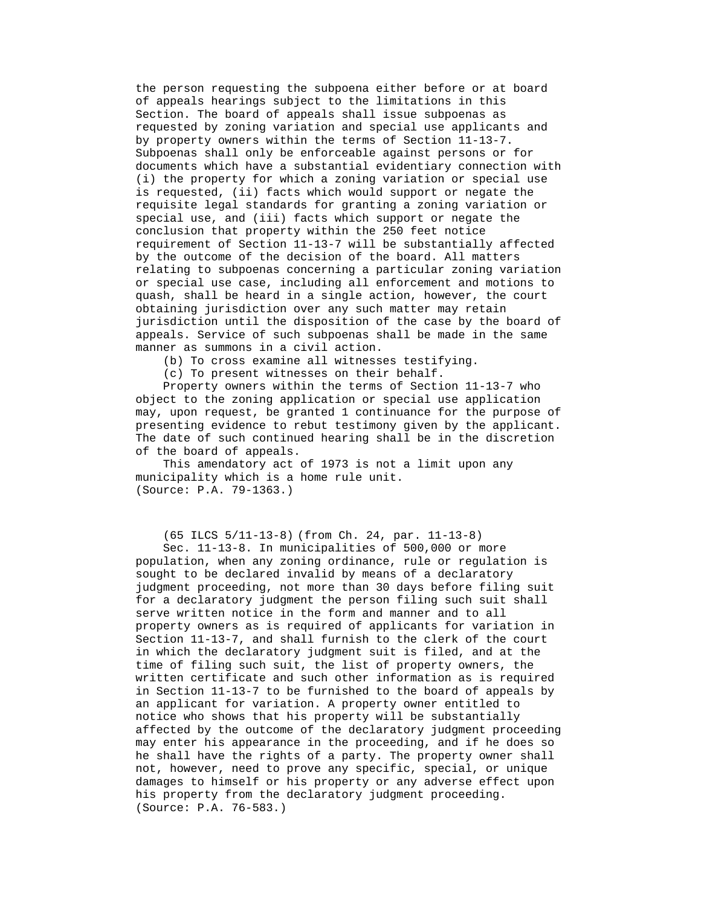the person requesting the subpoena either before or at board of appeals hearings subject to the limitations in this Section. The board of appeals shall issue subpoenas as requested by zoning variation and special use applicants and by property owners within the terms of Section 11-13-7. Subpoenas shall only be enforceable against persons or for documents which have a substantial evidentiary connection with (i) the property for which a zoning variation or special use is requested, (ii) facts which would support or negate the requisite legal standards for granting a zoning variation or special use, and (iii) facts which support or negate the conclusion that property within the 250 feet notice requirement of Section 11-13-7 will be substantially affected by the outcome of the decision of the board. All matters relating to subpoenas concerning a particular zoning variation or special use case, including all enforcement and motions to quash, shall be heard in a single action, however, the court obtaining jurisdiction over any such matter may retain jurisdiction until the disposition of the case by the board of appeals. Service of such subpoenas shall be made in the same manner as summons in a civil action.

(b) To cross examine all witnesses testifying.

(c) To present witnesses on their behalf.

 Property owners within the terms of Section 11-13-7 who object to the zoning application or special use application may, upon request, be granted 1 continuance for the purpose of presenting evidence to rebut testimony given by the applicant. The date of such continued hearing shall be in the discretion of the board of appeals.

 This amendatory act of 1973 is not a limit upon any municipality which is a home rule unit. (Source: P.A. 79-1363.)

(65 ILCS 5/11-13-8) (from Ch. 24, par. 11-13-8)

 Sec. 11-13-8. In municipalities of 500,000 or more population, when any zoning ordinance, rule or regulation is sought to be declared invalid by means of a declaratory judgment proceeding, not more than 30 days before filing suit for a declaratory judgment the person filing such suit shall serve written notice in the form and manner and to all property owners as is required of applicants for variation in Section 11-13-7, and shall furnish to the clerk of the court in which the declaratory judgment suit is filed, and at the time of filing such suit, the list of property owners, the written certificate and such other information as is required in Section 11-13-7 to be furnished to the board of appeals by an applicant for variation. A property owner entitled to notice who shows that his property will be substantially affected by the outcome of the declaratory judgment proceeding may enter his appearance in the proceeding, and if he does so he shall have the rights of a party. The property owner shall not, however, need to prove any specific, special, or unique damages to himself or his property or any adverse effect upon his property from the declaratory judgment proceeding. (Source: P.A. 76-583.)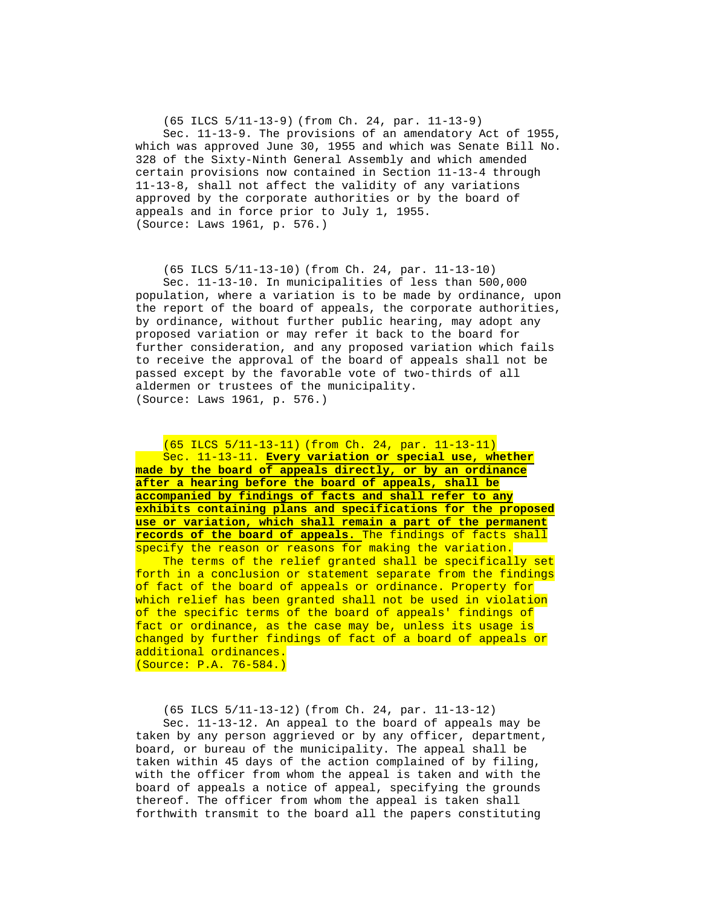(65 ILCS 5/11-13-9) (from Ch. 24, par. 11-13-9) Sec. 11-13-9. The provisions of an amendatory Act of 1955, which was approved June 30, 1955 and which was Senate Bill No. 328 of the Sixty-Ninth General Assembly and which amended certain provisions now contained in Section 11-13-4 through 11-13-8, shall not affect the validity of any variations approved by the corporate authorities or by the board of appeals and in force prior to July 1, 1955. (Source: Laws 1961, p. 576.)

 (65 ILCS 5/11-13-10) (from Ch. 24, par. 11-13-10) Sec. 11-13-10. In municipalities of less than 500,000 population, where a variation is to be made by ordinance, upon the report of the board of appeals, the corporate authorities, by ordinance, without further public hearing, may adopt any proposed variation or may refer it back to the board for further consideration, and any proposed variation which fails to receive the approval of the board of appeals shall not be passed except by the favorable vote of two-thirds of all aldermen or trustees of the municipality. (Source: Laws 1961, p. 576.)

 (65 ILCS 5/11-13-11) (from Ch. 24, par. 11-13-11) Sec. 11-13-11. **Every variation or special use, whether made by the board of appeals directly, or by an ordinance after a hearing before the board of appeals, shall be accompanied by findings of facts and shall refer to any exhibits containing plans and specifications for the proposed use or variation, which shall remain a part of the permanent records of the board of appeals.** The findings of facts shall specify the reason or reasons for making the variation.

The terms of the relief granted shall be specifically set forth in a conclusion or statement separate from the findings of fact of the board of appeals or ordinance. Property for which relief has been granted shall not be used in violation of the specific terms of the board of appeals' findings of fact or ordinance, as the case may be, unless its usage is changed by further findings of fact of a board of appeals or additional ordinances. (Source: P.A. 76-584.)

 (65 ILCS 5/11-13-12) (from Ch. 24, par. 11-13-12) Sec. 11-13-12. An appeal to the board of appeals may be taken by any person aggrieved or by any officer, department, board, or bureau of the municipality. The appeal shall be taken within 45 days of the action complained of by filing, with the officer from whom the appeal is taken and with the board of appeals a notice of appeal, specifying the grounds thereof. The officer from whom the appeal is taken shall forthwith transmit to the board all the papers constituting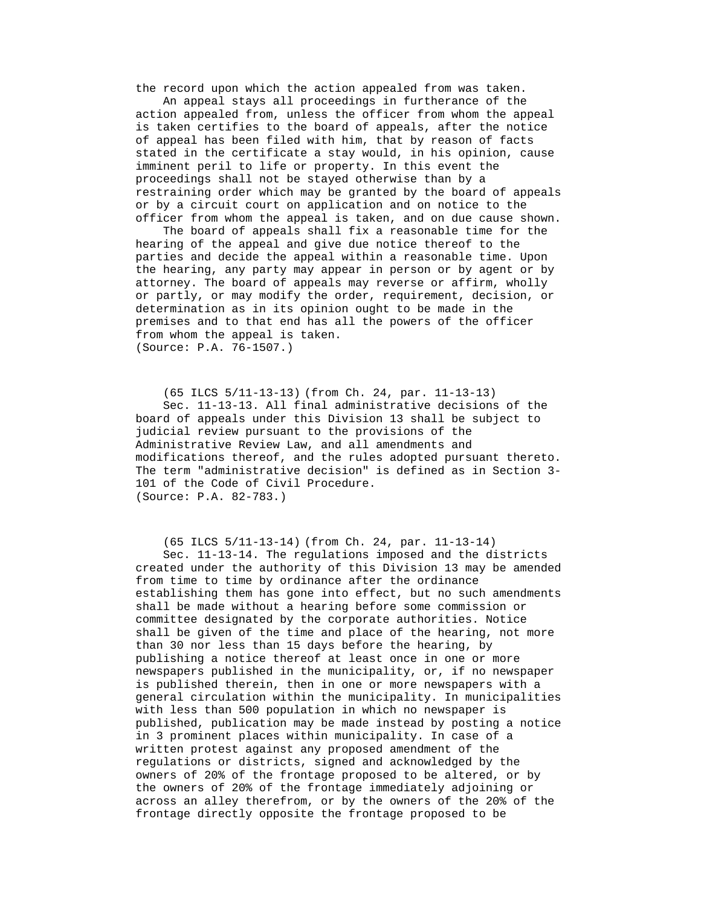the record upon which the action appealed from was taken.

 An appeal stays all proceedings in furtherance of the action appealed from, unless the officer from whom the appeal is taken certifies to the board of appeals, after the notice of appeal has been filed with him, that by reason of facts stated in the certificate a stay would, in his opinion, cause imminent peril to life or property. In this event the proceedings shall not be stayed otherwise than by a restraining order which may be granted by the board of appeals or by a circuit court on application and on notice to the officer from whom the appeal is taken, and on due cause shown.

 The board of appeals shall fix a reasonable time for the hearing of the appeal and give due notice thereof to the parties and decide the appeal within a reasonable time. Upon the hearing, any party may appear in person or by agent or by attorney. The board of appeals may reverse or affirm, wholly or partly, or may modify the order, requirement, decision, or determination as in its opinion ought to be made in the premises and to that end has all the powers of the officer from whom the appeal is taken. (Source: P.A. 76-1507.)

 (65 ILCS 5/11-13-13) (from Ch. 24, par. 11-13-13) Sec. 11-13-13. All final administrative decisions of the board of appeals under this Division 13 shall be subject to judicial review pursuant to the provisions of the Administrative Review Law, and all amendments and modifications thereof, and the rules adopted pursuant thereto. The term "administrative decision" is defined as in Section 3- 101 of the Code of Civil Procedure. (Source: P.A. 82-783.)

 (65 ILCS 5/11-13-14) (from Ch. 24, par. 11-13-14) Sec. 11-13-14. The regulations imposed and the districts created under the authority of this Division 13 may be amended from time to time by ordinance after the ordinance establishing them has gone into effect, but no such amendments shall be made without a hearing before some commission or committee designated by the corporate authorities. Notice shall be given of the time and place of the hearing, not more than 30 nor less than 15 days before the hearing, by publishing a notice thereof at least once in one or more newspapers published in the municipality, or, if no newspaper is published therein, then in one or more newspapers with a general circulation within the municipality. In municipalities with less than 500 population in which no newspaper is published, publication may be made instead by posting a notice in 3 prominent places within municipality. In case of a written protest against any proposed amendment of the regulations or districts, signed and acknowledged by the owners of 20% of the frontage proposed to be altered, or by the owners of 20% of the frontage immediately adjoining or across an alley therefrom, or by the owners of the 20% of the frontage directly opposite the frontage proposed to be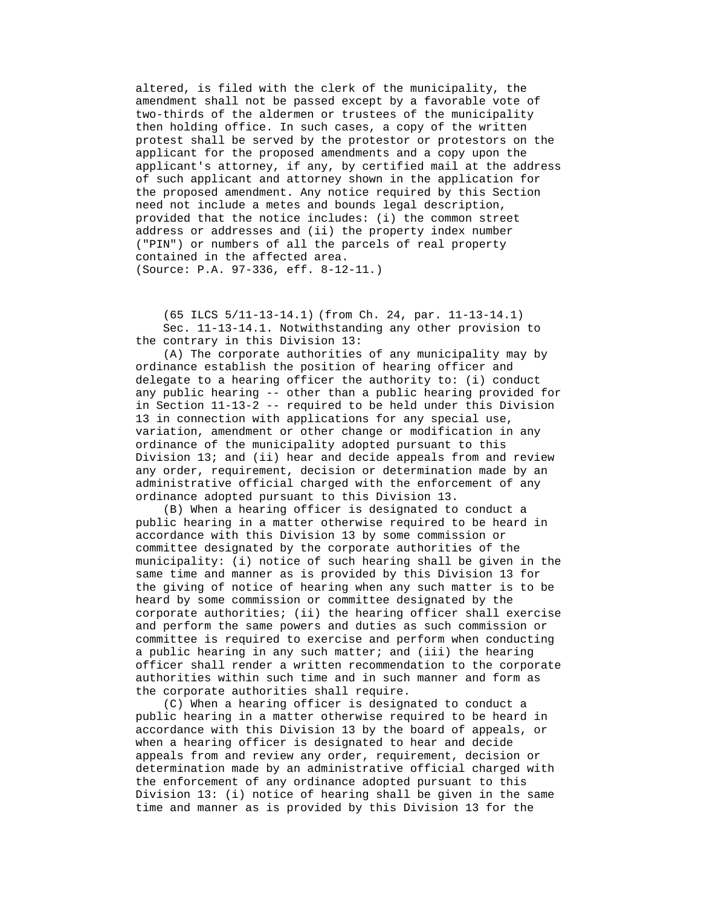altered, is filed with the clerk of the municipality, the amendment shall not be passed except by a favorable vote of two-thirds of the aldermen or trustees of the municipality then holding office. In such cases, a copy of the written protest shall be served by the protestor or protestors on the applicant for the proposed amendments and a copy upon the applicant's attorney, if any, by certified mail at the address of such applicant and attorney shown in the application for the proposed amendment. Any notice required by this Section need not include a metes and bounds legal description, provided that the notice includes: (i) the common street address or addresses and (ii) the property index number ("PIN") or numbers of all the parcels of real property contained in the affected area. (Source: P.A. 97-336, eff. 8-12-11.)

 (65 ILCS 5/11-13-14.1) (from Ch. 24, par. 11-13-14.1) Sec. 11-13-14.1. Notwithstanding any other provision to the contrary in this Division 13:

 (A) The corporate authorities of any municipality may by ordinance establish the position of hearing officer and delegate to a hearing officer the authority to: (i) conduct any public hearing -- other than a public hearing provided for in Section 11-13-2 -- required to be held under this Division 13 in connection with applications for any special use, variation, amendment or other change or modification in any ordinance of the municipality adopted pursuant to this Division 13; and (ii) hear and decide appeals from and review any order, requirement, decision or determination made by an administrative official charged with the enforcement of any ordinance adopted pursuant to this Division 13.

 (B) When a hearing officer is designated to conduct a public hearing in a matter otherwise required to be heard in accordance with this Division 13 by some commission or committee designated by the corporate authorities of the municipality: (i) notice of such hearing shall be given in the same time and manner as is provided by this Division 13 for the giving of notice of hearing when any such matter is to be heard by some commission or committee designated by the corporate authorities; (ii) the hearing officer shall exercise and perform the same powers and duties as such commission or committee is required to exercise and perform when conducting a public hearing in any such matter; and (iii) the hearing officer shall render a written recommendation to the corporate authorities within such time and in such manner and form as the corporate authorities shall require.

 (C) When a hearing officer is designated to conduct a public hearing in a matter otherwise required to be heard in accordance with this Division 13 by the board of appeals, or when a hearing officer is designated to hear and decide appeals from and review any order, requirement, decision or determination made by an administrative official charged with the enforcement of any ordinance adopted pursuant to this Division 13: (i) notice of hearing shall be given in the same time and manner as is provided by this Division 13 for the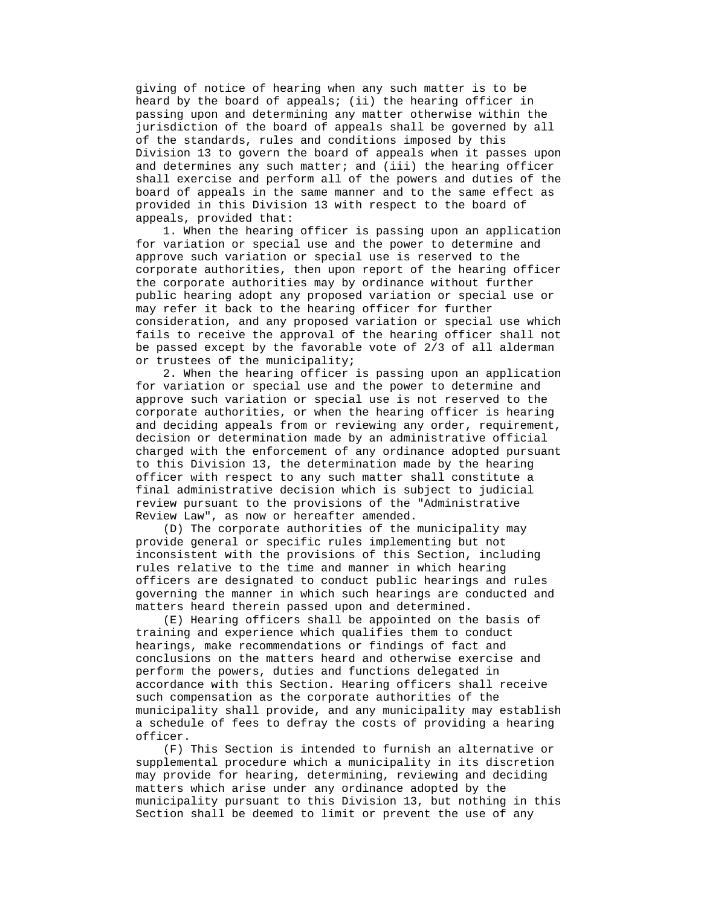giving of notice of hearing when any such matter is to be heard by the board of appeals; (ii) the hearing officer in passing upon and determining any matter otherwise within the jurisdiction of the board of appeals shall be governed by all of the standards, rules and conditions imposed by this Division 13 to govern the board of appeals when it passes upon and determines any such matter; and (iii) the hearing officer shall exercise and perform all of the powers and duties of the board of appeals in the same manner and to the same effect as provided in this Division 13 with respect to the board of appeals, provided that:

 1. When the hearing officer is passing upon an application for variation or special use and the power to determine and approve such variation or special use is reserved to the corporate authorities, then upon report of the hearing officer the corporate authorities may by ordinance without further public hearing adopt any proposed variation or special use or may refer it back to the hearing officer for further consideration, and any proposed variation or special use which fails to receive the approval of the hearing officer shall not be passed except by the favorable vote of 2/3 of all alderman or trustees of the municipality;

 2. When the hearing officer is passing upon an application for variation or special use and the power to determine and approve such variation or special use is not reserved to the corporate authorities, or when the hearing officer is hearing and deciding appeals from or reviewing any order, requirement, decision or determination made by an administrative official charged with the enforcement of any ordinance adopted pursuant to this Division 13, the determination made by the hearing officer with respect to any such matter shall constitute a final administrative decision which is subject to judicial review pursuant to the provisions of the "Administrative Review Law", as now or hereafter amended.

 (D) The corporate authorities of the municipality may provide general or specific rules implementing but not inconsistent with the provisions of this Section, including rules relative to the time and manner in which hearing officers are designated to conduct public hearings and rules governing the manner in which such hearings are conducted and matters heard therein passed upon and determined.

 (E) Hearing officers shall be appointed on the basis of training and experience which qualifies them to conduct hearings, make recommendations or findings of fact and conclusions on the matters heard and otherwise exercise and perform the powers, duties and functions delegated in accordance with this Section. Hearing officers shall receive such compensation as the corporate authorities of the municipality shall provide, and any municipality may establish a schedule of fees to defray the costs of providing a hearing officer.

 (F) This Section is intended to furnish an alternative or supplemental procedure which a municipality in its discretion may provide for hearing, determining, reviewing and deciding matters which arise under any ordinance adopted by the municipality pursuant to this Division 13, but nothing in this Section shall be deemed to limit or prevent the use of any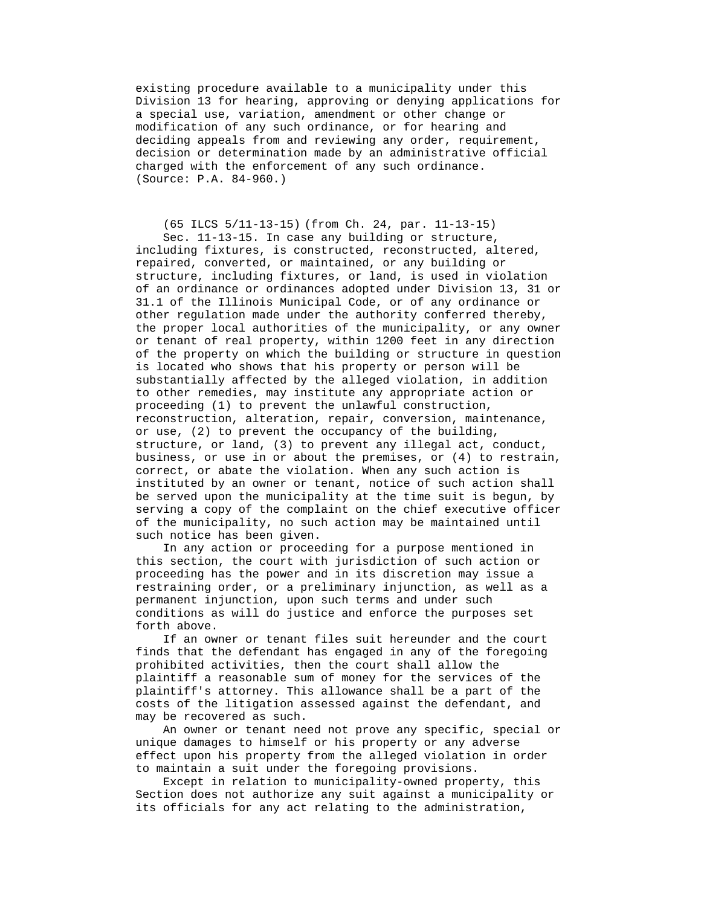existing procedure available to a municipality under this Division 13 for hearing, approving or denying applications for a special use, variation, amendment or other change or modification of any such ordinance, or for hearing and deciding appeals from and reviewing any order, requirement, decision or determination made by an administrative official charged with the enforcement of any such ordinance. (Source: P.A. 84-960.)

 (65 ILCS 5/11-13-15) (from Ch. 24, par. 11-13-15) Sec. 11-13-15. In case any building or structure, including fixtures, is constructed, reconstructed, altered, repaired, converted, or maintained, or any building or structure, including fixtures, or land, is used in violation of an ordinance or ordinances adopted under Division 13, 31 or 31.1 of the Illinois Municipal Code, or of any ordinance or other regulation made under the authority conferred thereby, the proper local authorities of the municipality, or any owner or tenant of real property, within 1200 feet in any direction of the property on which the building or structure in question is located who shows that his property or person will be substantially affected by the alleged violation, in addition to other remedies, may institute any appropriate action or proceeding (1) to prevent the unlawful construction, reconstruction, alteration, repair, conversion, maintenance, or use, (2) to prevent the occupancy of the building, structure, or land, (3) to prevent any illegal act, conduct, business, or use in or about the premises, or (4) to restrain, correct, or abate the violation. When any such action is instituted by an owner or tenant, notice of such action shall be served upon the municipality at the time suit is begun, by serving a copy of the complaint on the chief executive officer of the municipality, no such action may be maintained until such notice has been given.

 In any action or proceeding for a purpose mentioned in this section, the court with jurisdiction of such action or proceeding has the power and in its discretion may issue a restraining order, or a preliminary injunction, as well as a permanent injunction, upon such terms and under such conditions as will do justice and enforce the purposes set forth above.

 If an owner or tenant files suit hereunder and the court finds that the defendant has engaged in any of the foregoing prohibited activities, then the court shall allow the plaintiff a reasonable sum of money for the services of the plaintiff's attorney. This allowance shall be a part of the costs of the litigation assessed against the defendant, and may be recovered as such.

 An owner or tenant need not prove any specific, special or unique damages to himself or his property or any adverse effect upon his property from the alleged violation in order to maintain a suit under the foregoing provisions.

 Except in relation to municipality-owned property, this Section does not authorize any suit against a municipality or its officials for any act relating to the administration,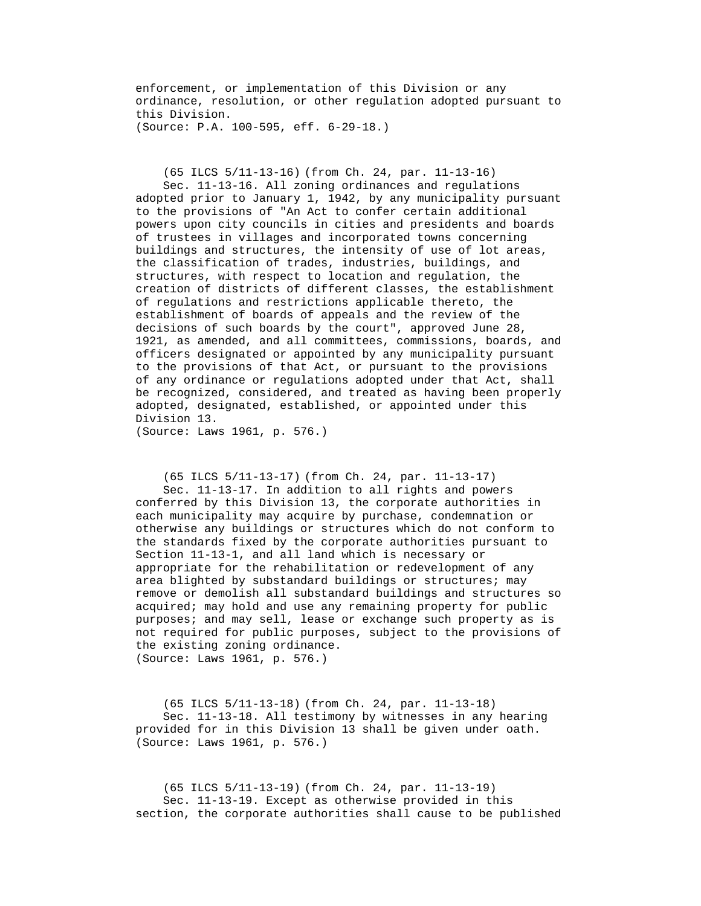enforcement, or implementation of this Division or any ordinance, resolution, or other regulation adopted pursuant to this Division. (Source: P.A. 100-595, eff. 6-29-18.)

(65 ILCS 5/11-13-16) (from Ch. 24, par. 11-13-16)

 Sec. 11-13-16. All zoning ordinances and regulations adopted prior to January 1, 1942, by any municipality pursuant to the provisions of "An Act to confer certain additional powers upon city councils in cities and presidents and boards of trustees in villages and incorporated towns concerning buildings and structures, the intensity of use of lot areas, the classification of trades, industries, buildings, and structures, with respect to location and regulation, the creation of districts of different classes, the establishment of regulations and restrictions applicable thereto, the establishment of boards of appeals and the review of the decisions of such boards by the court", approved June 28, 1921, as amended, and all committees, commissions, boards, and officers designated or appointed by any municipality pursuant to the provisions of that Act, or pursuant to the provisions of any ordinance or regulations adopted under that Act, shall be recognized, considered, and treated as having been properly adopted, designated, established, or appointed under this Division 13.

(Source: Laws 1961, p. 576.)

 (65 ILCS 5/11-13-17) (from Ch. 24, par. 11-13-17) Sec. 11-13-17. In addition to all rights and powers conferred by this Division 13, the corporate authorities in each municipality may acquire by purchase, condemnation or otherwise any buildings or structures which do not conform to the standards fixed by the corporate authorities pursuant to Section 11-13-1, and all land which is necessary or appropriate for the rehabilitation or redevelopment of any area blighted by substandard buildings or structures; may remove or demolish all substandard buildings and structures so acquired; may hold and use any remaining property for public purposes; and may sell, lease or exchange such property as is not required for public purposes, subject to the provisions of the existing zoning ordinance. (Source: Laws 1961, p. 576.)

 (65 ILCS 5/11-13-18) (from Ch. 24, par. 11-13-18) Sec. 11-13-18. All testimony by witnesses in any hearing provided for in this Division 13 shall be given under oath. (Source: Laws 1961, p. 576.)

 (65 ILCS 5/11-13-19) (from Ch. 24, par. 11-13-19) Sec. 11-13-19. Except as otherwise provided in this section, the corporate authorities shall cause to be published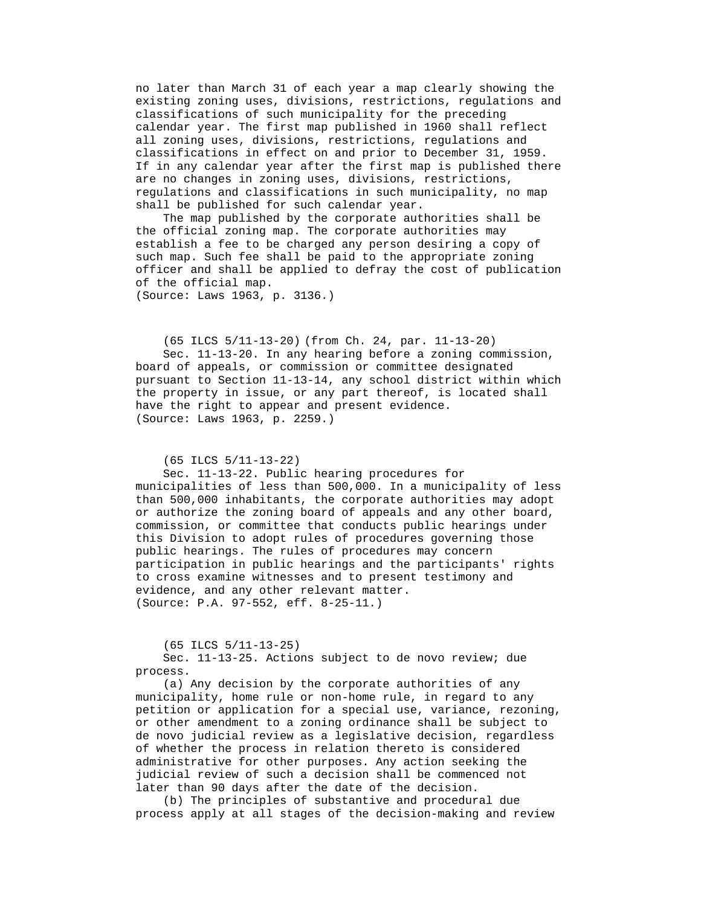no later than March 31 of each year a map clearly showing the existing zoning uses, divisions, restrictions, regulations and classifications of such municipality for the preceding calendar year. The first map published in 1960 shall reflect all zoning uses, divisions, restrictions, regulations and classifications in effect on and prior to December 31, 1959. If in any calendar year after the first map is published there are no changes in zoning uses, divisions, restrictions, regulations and classifications in such municipality, no map shall be published for such calendar year.

 The map published by the corporate authorities shall be the official zoning map. The corporate authorities may establish a fee to be charged any person desiring a copy of such map. Such fee shall be paid to the appropriate zoning officer and shall be applied to defray the cost of publication of the official map.

(Source: Laws 1963, p. 3136.)

 (65 ILCS 5/11-13-20) (from Ch. 24, par. 11-13-20) Sec. 11-13-20. In any hearing before a zoning commission, board of appeals, or commission or committee designated pursuant to Section 11-13-14, any school district within which the property in issue, or any part thereof, is located shall have the right to appear and present evidence. (Source: Laws 1963, p. 2259.)

#### (65 ILCS 5/11-13-22)

 Sec. 11-13-22. Public hearing procedures for municipalities of less than 500,000. In a municipality of less than 500,000 inhabitants, the corporate authorities may adopt or authorize the zoning board of appeals and any other board, commission, or committee that conducts public hearings under this Division to adopt rules of procedures governing those public hearings. The rules of procedures may concern participation in public hearings and the participants' rights to cross examine witnesses and to present testimony and evidence, and any other relevant matter. (Source: P.A. 97-552, eff. 8-25-11.)

(65 ILCS 5/11-13-25)

 Sec. 11-13-25. Actions subject to de novo review; due process.

 (a) Any decision by the corporate authorities of any municipality, home rule or non-home rule, in regard to any petition or application for a special use, variance, rezoning, or other amendment to a zoning ordinance shall be subject to de novo judicial review as a legislative decision, regardless of whether the process in relation thereto is considered administrative for other purposes. Any action seeking the judicial review of such a decision shall be commenced not later than 90 days after the date of the decision.

 (b) The principles of substantive and procedural due process apply at all stages of the decision-making and review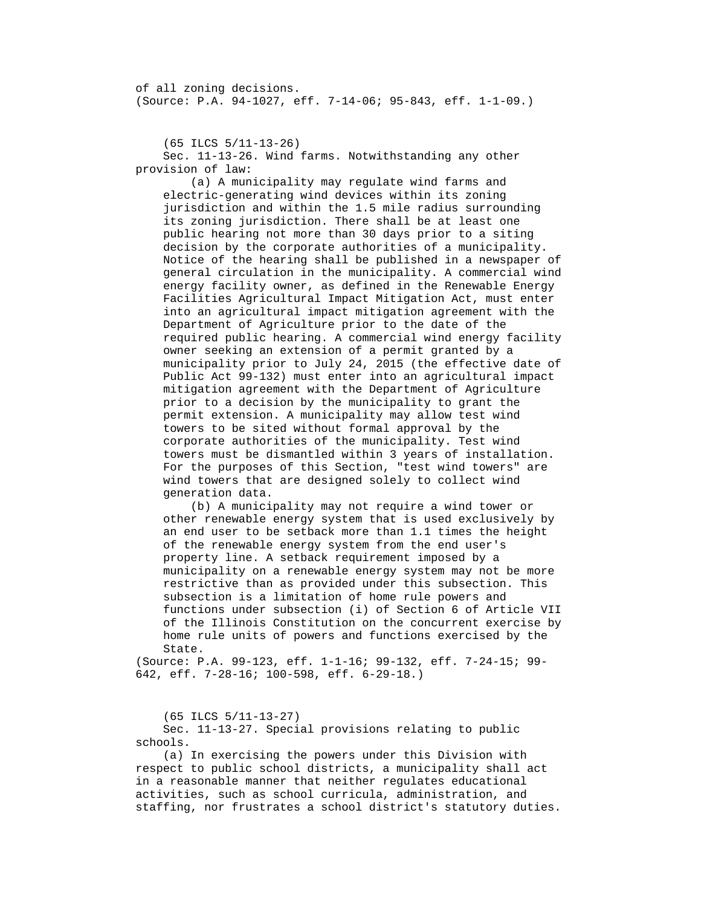of all zoning decisions. (Source: P.A. 94-1027, eff. 7-14-06; 95-843, eff. 1-1-09.)

(65 ILCS 5/11-13-26)

 Sec. 11-13-26. Wind farms. Notwithstanding any other provision of law:

 (a) A municipality may regulate wind farms and electric-generating wind devices within its zoning jurisdiction and within the 1.5 mile radius surrounding its zoning jurisdiction. There shall be at least one public hearing not more than 30 days prior to a siting decision by the corporate authorities of a municipality. Notice of the hearing shall be published in a newspaper of general circulation in the municipality. A commercial wind energy facility owner, as defined in the Renewable Energy Facilities Agricultural Impact Mitigation Act, must enter into an agricultural impact mitigation agreement with the Department of Agriculture prior to the date of the required public hearing. A commercial wind energy facility owner seeking an extension of a permit granted by a municipality prior to July 24, 2015 (the effective date of Public Act 99-132) must enter into an agricultural impact mitigation agreement with the Department of Agriculture prior to a decision by the municipality to grant the permit extension. A municipality may allow test wind towers to be sited without formal approval by the corporate authorities of the municipality. Test wind towers must be dismantled within 3 years of installation. For the purposes of this Section, "test wind towers" are wind towers that are designed solely to collect wind generation data.

 (b) A municipality may not require a wind tower or other renewable energy system that is used exclusively by an end user to be setback more than 1.1 times the height of the renewable energy system from the end user's property line. A setback requirement imposed by a municipality on a renewable energy system may not be more restrictive than as provided under this subsection. This subsection is a limitation of home rule powers and functions under subsection (i) of Section 6 of Article VII of the Illinois Constitution on the concurrent exercise by home rule units of powers and functions exercised by the State.

(Source: P.A. 99-123, eff. 1-1-16; 99-132, eff. 7-24-15; 99- 642, eff. 7-28-16; 100-598, eff. 6-29-18.)

(65 ILCS 5/11-13-27)

 Sec. 11-13-27. Special provisions relating to public schools.

 (a) In exercising the powers under this Division with respect to public school districts, a municipality shall act in a reasonable manner that neither regulates educational activities, such as school curricula, administration, and staffing, nor frustrates a school district's statutory duties.